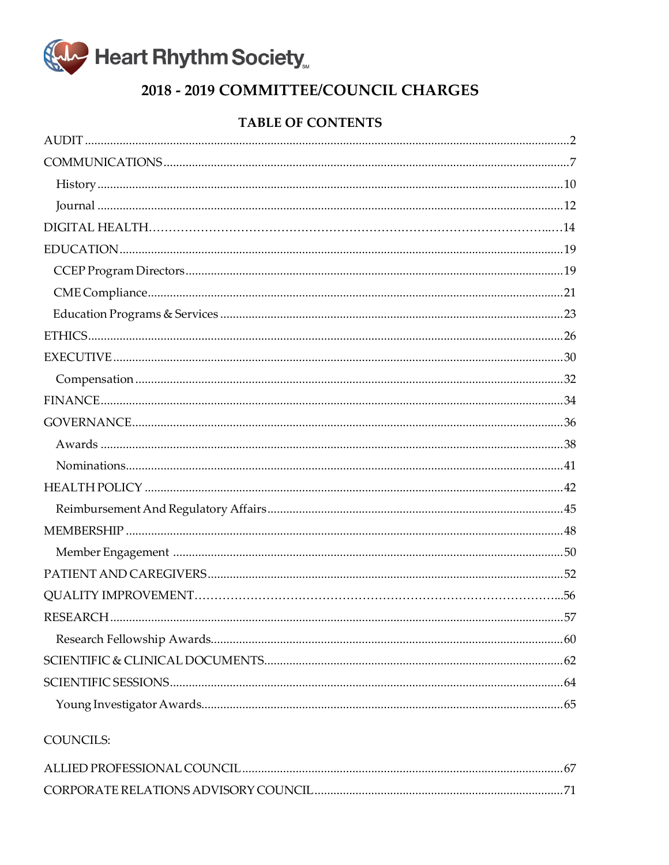

# 2018 - 2019 COMMITTEE/COUNCIL CHARGES

# **TABLE OF CONTENTS**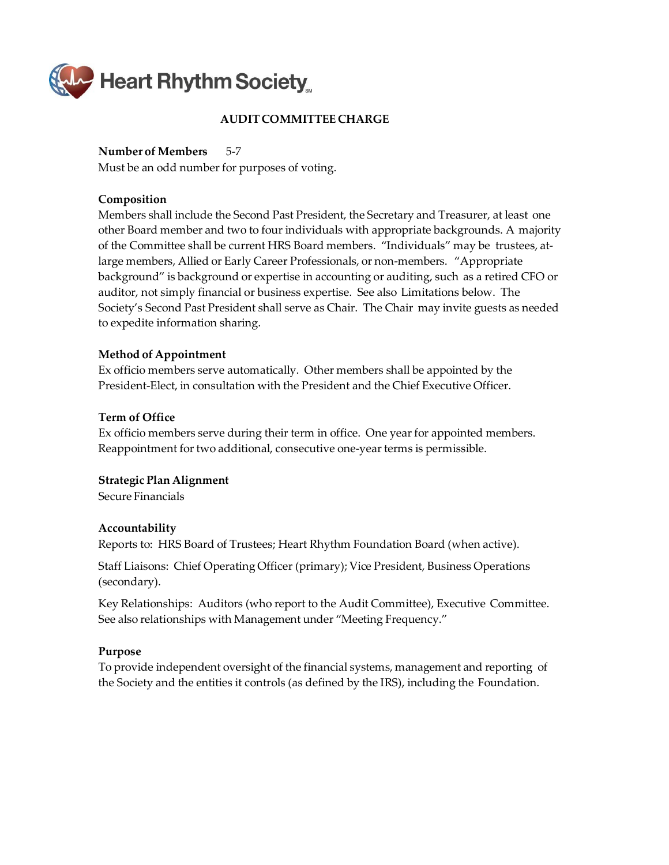<span id="page-1-0"></span>

### **AUDIT COMMITTEE CHARGE**

#### **Number of Members** 5‐7

Must be an odd number for purposes of voting.

#### **Composition**

Members shall include the Second Past President, the Secretary and Treasurer, at least one other Board member and two to four individuals with appropriate backgrounds. A majority of the Committee shall be current HRS Board members. "Individuals" may be trustees, at‐ large members, Allied or Early Career Professionals, or non‐members. "Appropriate background" is background or expertise in accounting or auditing, such as a retired CFO or auditor, not simply financial or business expertise. See also Limitations below. The Society's Second Past President shall serve as Chair. The Chair may invite guests as needed to expedite information sharing.

#### **Method of Appointment**

Ex officio members serve automatically. Other members shall be appointed by the President‐Elect, in consultation with the President and the Chief Executive Officer.

#### **Term of Office**

Ex officio members serve during their term in office. One year for appointed members. Reappointment for two additional, consecutive one-year terms is permissible.

### **Strategic Plan Alignment**

Secure Financials

### **Accountability**

Reports to: HRS Board of Trustees; Heart Rhythm Foundation Board (when active).

Staff Liaisons: Chief Operating Officer (primary); Vice President, Business Operations (secondary).

Key Relationships: Auditors (who report to the Audit Committee), Executive Committee. See also relationships with Management under "Meeting Frequency."

### **Purpose**

To provide independent oversight of the financial systems, management and reporting of the Society and the entities it controls (as defined by the IRS), including the Foundation.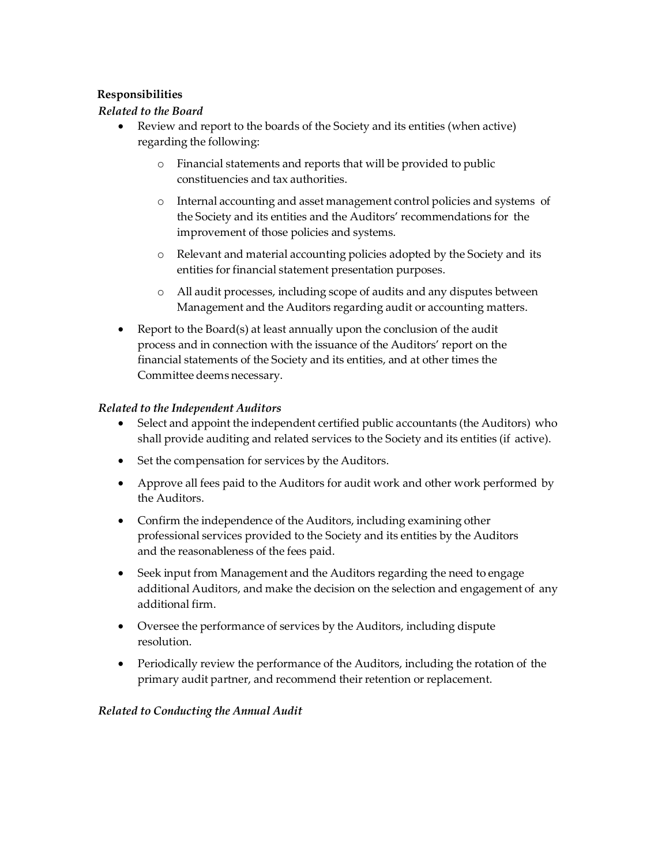# **Responsibilities**

# *Related to the Board*

- Review and report to the boards of the Society and its entities (when active) regarding the following:
	- o Financial statements and reports that will be provided to public constituencies and tax authorities.
	- o Internal accounting and asset management control policies and systems of the Society and its entities and the Auditors' recommendations for the improvement of those policies and systems.
	- o Relevant and material accounting policies adopted by the Society and its entities for financial statement presentation purposes.
	- o All audit processes, including scope of audits and any disputes between Management and the Auditors regarding audit or accounting matters.
- Report to the Board(s) at least annually upon the conclusion of the audit process and in connection with the issuance of the Auditors' report on the financial statements of the Society and its entities, and at other times the Committee deems necessary.

### *Related to the Independent Auditors*

- Select and appoint the independent certified public accountants (the Auditors) who shall provide auditing and related services to the Society and its entities (if active).
- Set the compensation for services by the Auditors.
- Approve all fees paid to the Auditors for audit work and other work performed by the Auditors.
- Confirm the independence of the Auditors, including examining other professional services provided to the Society and its entities by the Auditors and the reasonableness of the fees paid.
- Seek input from Management and the Auditors regarding the need to engage additional Auditors, and make the decision on the selection and engagement of any additional firm.
- Oversee the performance of services by the Auditors, including dispute resolution.
- Periodically review the performance of the Auditors, including the rotation of the primary audit partner, and recommend their retention or replacement.

### *Related to Conducting the Annual Audit*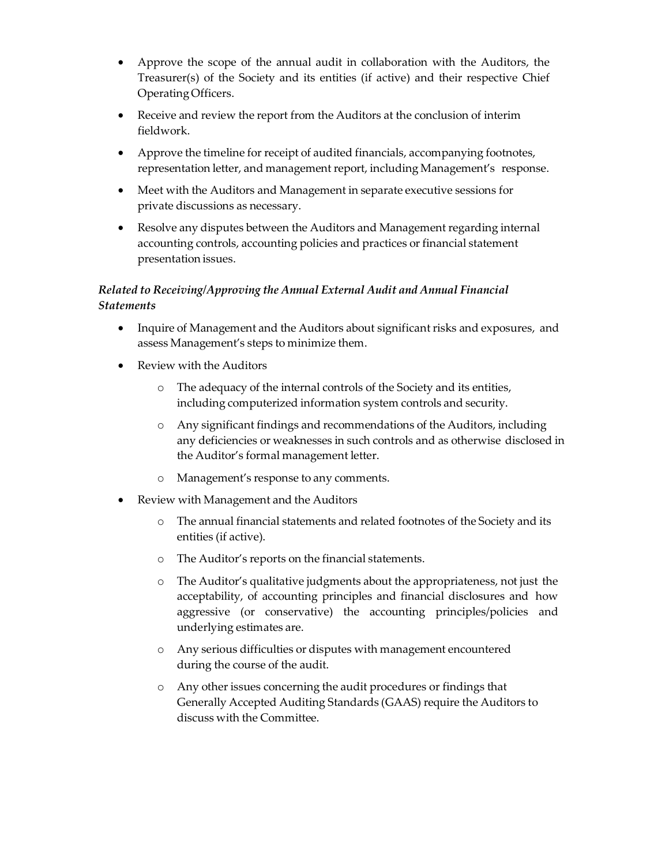- Approve the scope of the annual audit in collaboration with the Auditors, the Treasurer(s) of the Society and its entities (if active) and their respective Chief OperatingOfficers.
- Receive and review the report from the Auditors at the conclusion of interim fieldwork.
- Approve the timeline for receipt of audited financials, accompanying footnotes, representation letter, and management report, including Management's response.
- Meet with the Auditors and Management in separate executive sessions for private discussions as necessary.
- Resolve any disputes between the Auditors and Management regarding internal accounting controls, accounting policies and practices or financial statement presentation issues.

# *Related to Receiving/Approving the Annual External Audit and Annual Financial Statements*

- Inquire of Management and the Auditors about significant risks and exposures, and assess Management's steps to minimize them.
- Review with the Auditors
	- o The adequacy of the internal controls of the Society and its entities, including computerized information system controls and security.
	- o Any significant findings and recommendations of the Auditors, including any deficiencies or weaknesses in such controls and as otherwise disclosed in the Auditor's formal management letter.
	- o Management's response to any comments.
- Review with Management and the Auditors
	- o The annual financial statements and related footnotes of the Society and its entities (if active).
	- o The Auditor's reports on the financial statements.
	- o The Auditor's qualitative judgments about the appropriateness, not just the acceptability, of accounting principles and financial disclosures and how aggressive (or conservative) the accounting principles/policies and underlying estimates are.
	- o Any serious difficulties or disputes with management encountered during the course of the audit.
	- o Any otherissues concerning the audit procedures or findings that Generally Accepted Auditing Standards (GAAS) require the Auditors to discuss with the Committee.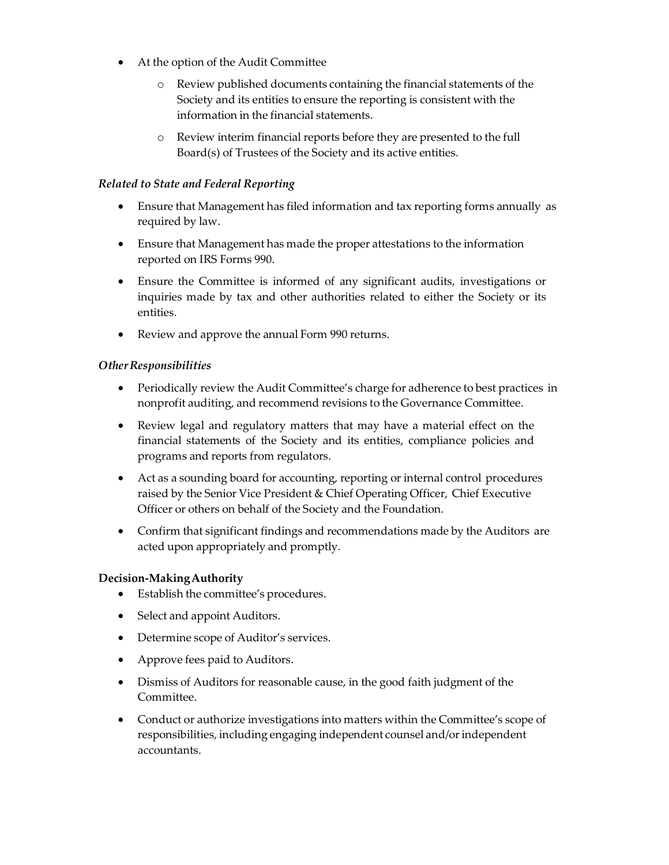- At the option of the Audit Committee
	- o Review published documents containing the financial statements of the Society and its entities to ensure the reporting is consistent with the information in the financial statements.
	- o Review interim financial reports before they are presented to the full Board(s) of Trustees of the Society and its active entities.

### *Related to State and Federal Reporting*

- Ensure that Management has filed information and tax reporting forms annually as required by law.
- Ensure that Management has made the proper attestations to the information reported on IRS Forms 990.
- Ensure the Committee is informed of any significant audits, investigations or inquiries made by tax and other authorities related to either the Society or its entities.
- Review and approve the annual Form 990 returns.

### *OtherResponsibilities*

- Periodically review the Audit Committee's charge for adherence to best practices in nonprofit auditing, and recommend revisions to the Governance Committee.
- Review legal and regulatory matters that may have a material effect on the financial statements of the Society and its entities, compliance policies and programs and reports from regulators.
- Act as a sounding board for accounting, reporting or internal control procedures raised by the Senior Vice President & Chief Operating Officer, Chief Executive Officer or others on behalf of the Society and the Foundation.
- Confirm that significant findings and recommendations made by the Auditors are acted upon appropriately and promptly.

### **Decision-MakingAuthority**

- Establish the committee's procedures.
- Select and appoint Auditors.
- Determine scope of Auditor's services.
- Approve fees paid to Auditors.
- Dismiss of Auditors for reasonable cause, in the good faith judgment of the Committee.
- Conduct or authorize investigations into matters within the Committee's scope of responsibilities, including engaging independent counsel and/orindependent accountants.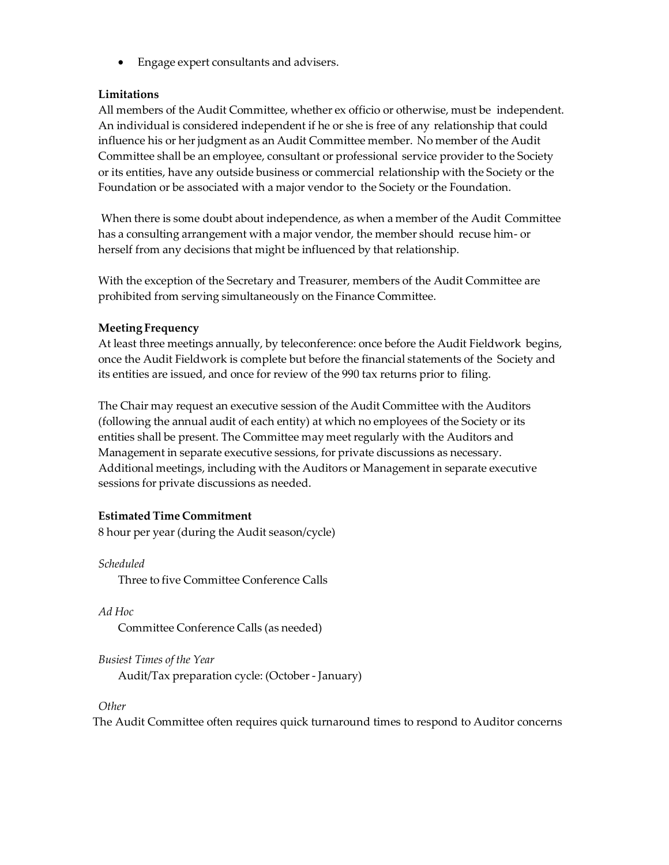• Engage expert consultants and advisers.

### **Limitations**

All members of the Audit Committee, whether ex officio or otherwise, must be independent. An individual is considered independent if he or she is free of any relationship that could influence his or her judgment as an Audit Committee member. No member of the Audit Committee shall be an employee, consultant or professional service provider to the Society or its entities, have any outside business or commercial relationship with the Society or the Foundation or be associated with a major vendor to the Society or the Foundation.

When there is some doubt about independence, as when a member of the Audit Committee has a consulting arrangement with a major vendor, the member should recuse him‐ or herself from any decisions that might be influenced by that relationship.

With the exception of the Secretary and Treasurer, members of the Audit Committee are prohibited from serving simultaneously on the Finance Committee.

### **Meeting Frequency**

At least three meetings annually, by teleconference: once before the Audit Fieldwork begins, once the Audit Fieldwork is complete but before the financial statements of the Society and its entities are issued, and once for review of the 990 tax returns prior to filing.

The Chair may request an executive session of the Audit Committee with the Auditors (following the annual audit of each entity) at which no employees of the Society or its entities shall be present. The Committee may meet regularly with the Auditors and Management in separate executive sessions, for private discussions as necessary. Additional meetings, including with the Auditors or Management in separate executive sessions for private discussions as needed.

#### **Estimated Time Commitment**

8 hour per year (during the Audit season/cycle)

*Scheduled* Three to five Committee Conference Calls

*Ad Hoc* Committee Conference Calls (as needed)

*Busiest Times of the Year* Audit/Tax preparation cycle: (October‐ January)

*Other*

The Audit Committee often requires quick turnaround times to respond to Auditor concerns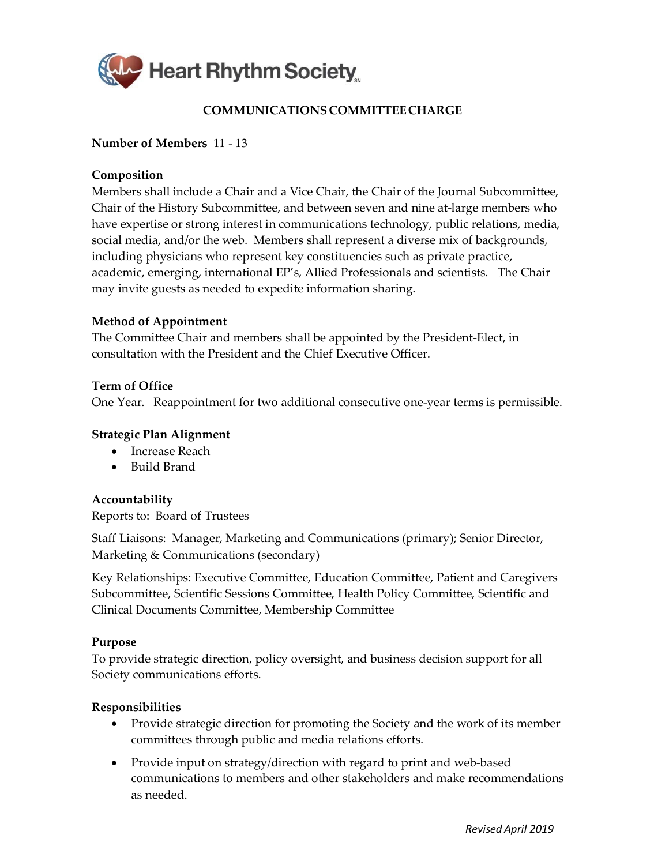

# **COMMUNICATIONS COMMITTEECHARGE**

### <span id="page-6-0"></span>**Number of Members** 11 - 13

### **Composition**

Members shall include a Chair and a Vice Chair, the Chair of the Journal Subcommittee, Chair of the History Subcommittee, and between seven and nine at-large members who have expertise or strong interest in communications technology, public relations, media, social media, and/or the web. Members shall represent a diverse mix of backgrounds, including physicians who represent key constituencies such as private practice, academic, emerging, international EP's, Allied Professionals and scientists. The Chair may invite guests as needed to expedite information sharing.

### **Method of Appointment**

The Committee Chair and members shall be appointed by the President-Elect, in consultation with the President and the Chief Executive Officer.

### **Term of Office**

One Year. Reappointment for two additional consecutive one-year terms is permissible.

### **Strategic Plan Alignment**

- Increase Reach
- Build Brand

### **Accountability**

Reports to: Board of Trustees

Staff Liaisons: Manager, Marketing and Communications (primary); Senior Director, Marketing & Communications (secondary)

Key Relationships: Executive Committee, Education Committee, Patient and Caregivers Subcommittee, Scientific Sessions Committee, Health Policy Committee, Scientific and Clinical Documents Committee, Membership Committee

### **Purpose**

To provide strategic direction, policy oversight, and business decision support for all Society communications efforts.

- Provide strategic direction for promoting the Society and the work of its member committees through public and media relations efforts.
- Provide input on strategy/direction with regard to print and web-based communications to members and other stakeholders and make recommendations as needed.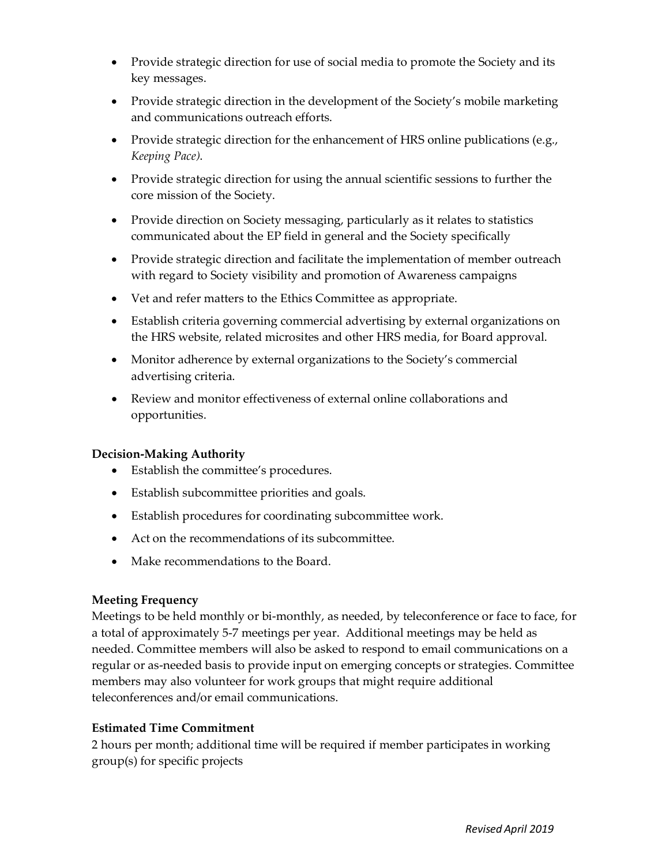- Provide strategic direction for use of social media to promote the Society and its key messages.
- Provide strategic direction in the development of the Society's mobile marketing and communications outreach efforts.
- Provide strategic direction for the enhancement of HRS online publications (e.g., *Keeping Pace)*.
- Provide strategic direction for using the annual scientific sessions to further the core mission of the Society.
- Provide direction on Society messaging, particularly as it relates to statistics communicated about the EP field in general and the Society specifically
- Provide strategic direction and facilitate the implementation of member outreach with regard to Society visibility and promotion of Awareness campaigns
- Vet and refer matters to the Ethics Committee as appropriate.
- Establish criteria governing commercial advertising by external organizations on the HRS website, related microsites and other HRS media, for Board approval.
- Monitor adherence by external organizations to the Society's commercial advertising criteria.
- Review and monitor effectiveness of external online collaborations and opportunities.

- Establish the committee's procedures.
- Establish subcommittee priorities and goals.
- Establish procedures for coordinating subcommittee work.
- Act on the recommendations of its subcommittee.
- Make recommendations to the Board.

# **Meeting Frequency**

Meetings to be held monthly or bi-monthly, as needed, by teleconference or face to face, for a total of approximately 5-7 meetings per year. Additional meetings may be held as needed. Committee members will also be asked to respond to email communications on a regular or as-needed basis to provide input on emerging concepts or strategies. Committee members may also volunteer for work groups that might require additional teleconferences and/or email communications.

# **Estimated Time Commitment**

2 hours per month; additional time will be required if member participates in working group(s) for specific projects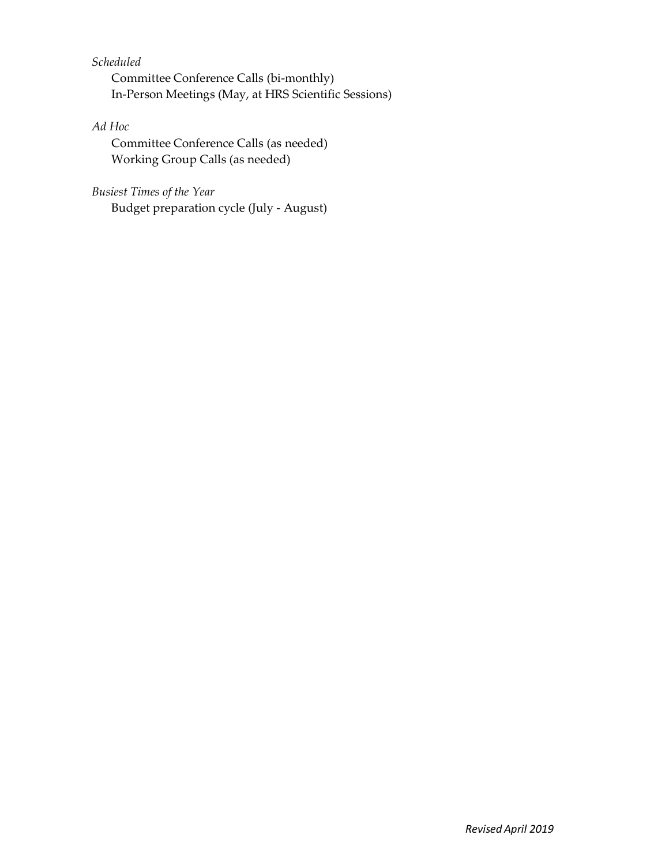# *Scheduled*

Committee Conference Calls (bi-monthly) In-Person Meetings (May, at HRS Scientific Sessions)

# *Ad Hoc*

Committee Conference Calls (as needed) Working Group Calls (as needed)

# *Busiest Times of the Year*

Budget preparation cycle (July - August)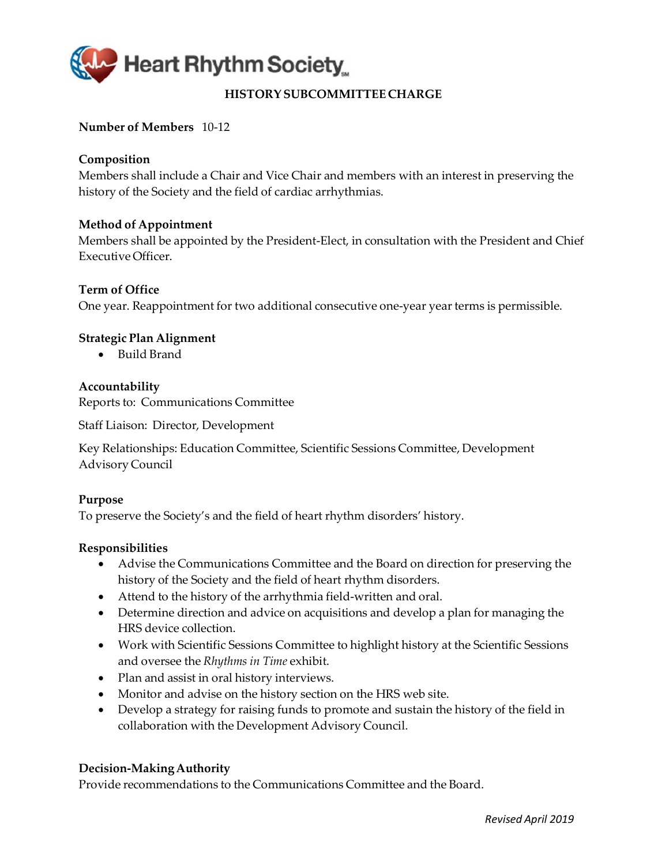<span id="page-9-0"></span>

# **HISTORYSUBCOMMITTEE CHARGE**

# **Number of Members** 10‐12

# **Composition**

Members shall include a Chair and Vice Chair and members with an interest in preserving the history of the Society and the field of cardiac arrhythmias.

### **Method of Appointment**

Members shall be appointed by the President‐Elect, in consultation with the President and Chief Executive Officer.

### **Term of Office**

One year. Reappointment for two additional consecutive one-year year terms is permissible.

### **Strategic Plan Alignment**

• Build Brand

### **Accountability**

Reports to: Communications Committee

Staff Liaison: Director, Development

Key Relationships: Education Committee, Scientific Sessions Committee, Development Advisory Council

### **Purpose**

To preserve the Society's and the field of heart rhythm disorders' history.

### **Responsibilities**

- Advise the Communications Committee and the Board on direction for preserving the history of the Society and the field of heart rhythm disorders.
- Attend to the history of the arrhythmia field-written and oral.
- Determine direction and advice on acquisitions and develop a plan for managing the HRS device collection.
- Work with Scientific Sessions Committee to highlight history at the Scientific Sessions and oversee the *Rhythms in Time* exhibit.
- Plan and assist in oral history interviews.
- Monitor and advise on the history section on the HRS web site.
- Develop a strategy for raising funds to promote and sustain the history of the field in collaboration with the Development Advisory Council.

### **Decision-MakingAuthority**

Provide recommendations to the Communications Committee and the Board.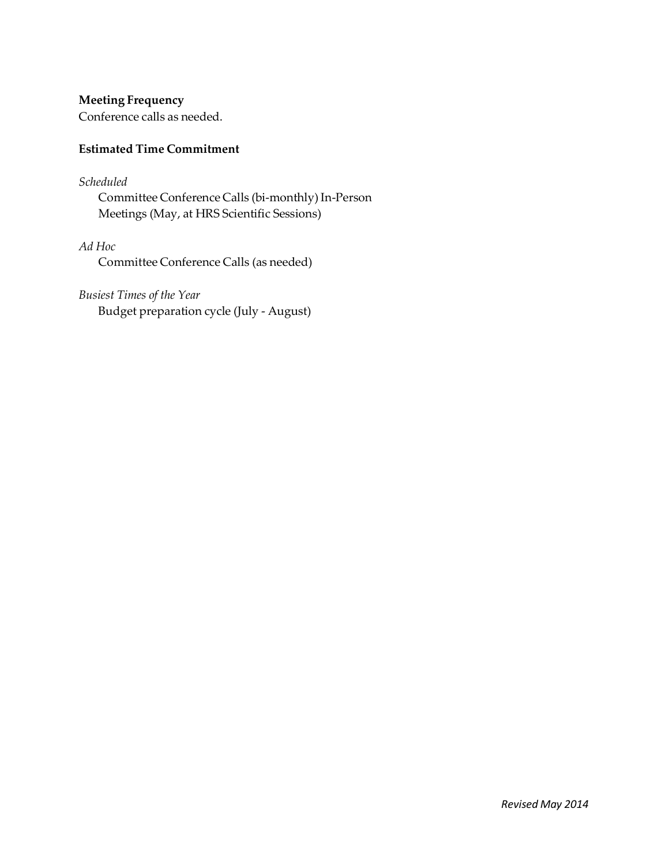**Meeting Frequency**

Conference calls as needed.

### **Estimated Time Commitment**

### *Scheduled*

Committee Conference Calls (bi‐monthly)In‐Person Meetings (May, at HRS Scientific Sessions)

*Ad Hoc*

Committee Conference Calls (as needed)

# *Busiest Times of the Year*

Budget preparation cycle (July ‐ August)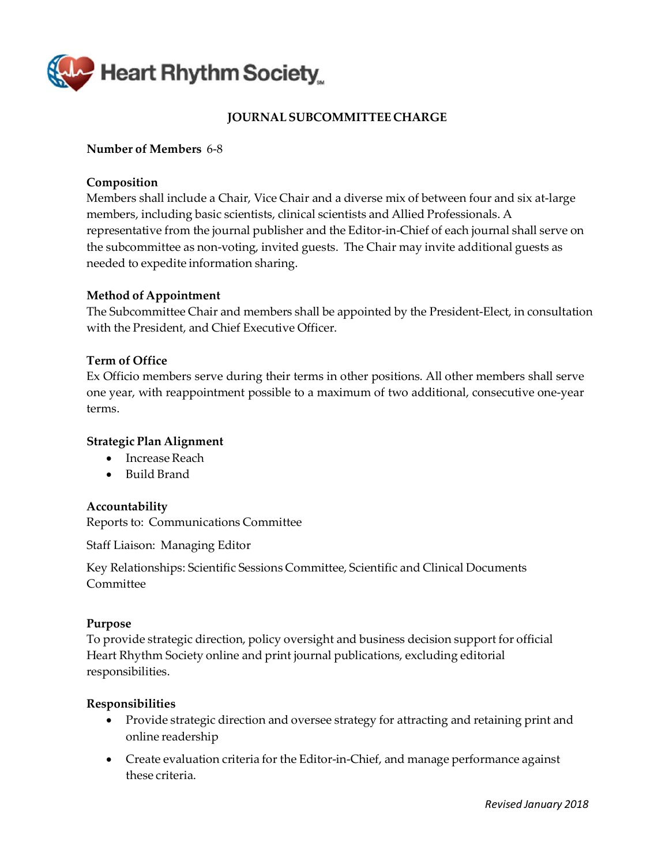<span id="page-11-0"></span>

# **JOURNAL SUBCOMMITTEE CHARGE**

### **Number of Members** 6‐8

### **Composition**

Members shall include a Chair, Vice Chair and a diverse mix of between four and six at‐large members, including basic scientists, clinical scientists and Allied Professionals. A representative from the journal publisher and the Editor-in-Chief of each journal shall serve on the subcommittee as non‐voting, invited guests. The Chair may invite additional guests as needed to expedite information sharing.

### **Method of Appointment**

The Subcommittee Chair and members shall be appointed by the President-Elect, in consultation with the President, and Chief Executive Officer.

### **Term of Office**

Ex Officio members serve during their terms in other positions. All other members shall serve one year, with reappointment possible to a maximum of two additional, consecutive one‐year terms.

### **Strategic Plan Alignment**

- Increase Reach
- Build Brand

### **Accountability**

Reports to: Communications Committee

Staff Liaison: Managing Editor

Key Relationships: Scientific Sessions Committee, Scientific and Clinical Documents Committee

### **Purpose**

To provide strategic direction, policy oversight and business decision support for official Heart Rhythm Society online and print journal publications, excluding editorial responsibilities.

- Provide strategic direction and oversee strategy for attracting and retaining print and online readership
- Create evaluation criteria for the Editor-in-Chief, and manage performance against these criteria.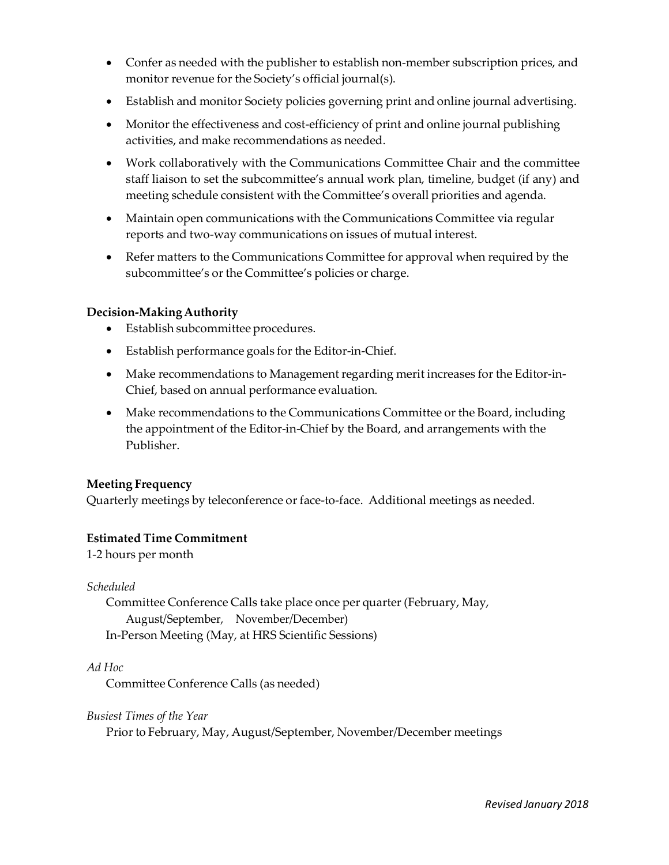- Confer as needed with the publisher to establish non-member subscription prices, and monitor revenue for the Society's official journal(s).
- Establish and monitor Society policies governing print and online journal advertising.
- Monitor the effectiveness and cost-efficiency of print and online journal publishing activities, and make recommendations as needed.
- Work collaboratively with the Communications Committee Chair and the committee staff liaison to set the subcommittee's annual work plan, timeline, budget (if any) and meeting schedule consistent with the Committee's overall priorities and agenda.
- Maintain open communications with the Communications Committee via regular reports and two‐way communications on issues of mutual interest.
- Refer matters to the Communications Committee for approval when required by the subcommittee's or the Committee's policies or charge.

- Establish subcommittee procedures.
- Establish performance goals for the Editor-in-Chief.
- Make recommendations to Management regarding merit increases for the Editor-in-Chief, based on annual performance evaluation.
- Make recommendations to the Communications Committee or the Board, including the appointment of the Editor‐in‐Chief by the Board, and arrangements with the Publisher.

### **Meeting Frequency**

Quarterly meetings by teleconference or face-to-face. Additional meetings as needed.

### **Estimated Time Commitment**

1‐2 hours per month

*Scheduled*

Committee Conference Calls take place once per quarter (February, May, August/September, November/December) In‐Person Meeting (May, at HRS Scientific Sessions)

*Ad Hoc*

Committee Conference Calls (as needed)

*Busiest Times of the Year*

Prior to February, May, August/September, November/December meetings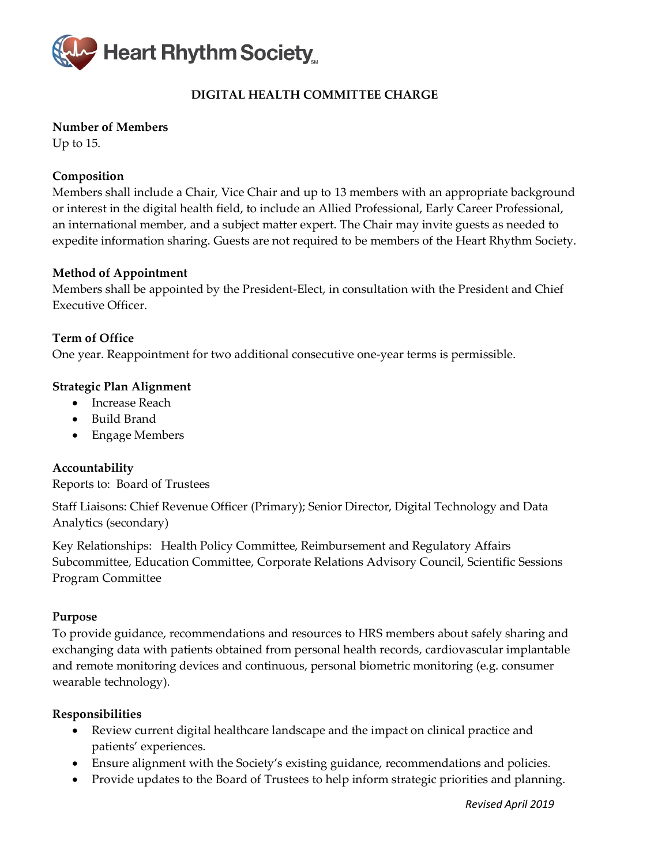

# **DIGITAL HEALTH COMMITTEE CHARGE**

# **Number of Members**

Up to 15.

# **Composition**

Members shall include a Chair, Vice Chair and up to 13 members with an appropriate background or interest in the digital health field, to include an Allied Professional, Early Career Professional, an international member, and a subject matter expert. The Chair may invite guests as needed to expedite information sharing. Guests are not required to be members of the Heart Rhythm Society.

# **Method of Appointment**

Members shall be appointed by the President-Elect, in consultation with the President and Chief Executive Officer.

**Term of Office** One year. Reappointment for two additional consecutive one-year terms is permissible.

# **Strategic Plan Alignment**

- Increase Reach
- Build Brand
- Engage Members

# **Accountability**

Reports to: Board of Trustees

Staff Liaisons: Chief Revenue Officer (Primary); Senior Director, Digital Technology and Data Analytics (secondary)

Key Relationships: Health Policy Committee, Reimbursement and Regulatory Affairs Subcommittee, Education Committee, Corporate Relations Advisory Council, Scientific Sessions Program Committee

### **Purpose**

To provide guidance, recommendations and resources to HRS members about safely sharing and exchanging data with patients obtained from personal health records, cardiovascular implantable and remote monitoring devices and continuous, personal biometric monitoring (e.g. consumer wearable technology).

- Review current digital healthcare landscape and the impact on clinical practice and patients' experiences.
- Ensure alignment with the Society's existing guidance, recommendations and policies.
- Provide updates to the Board of Trustees to help inform strategic priorities and planning.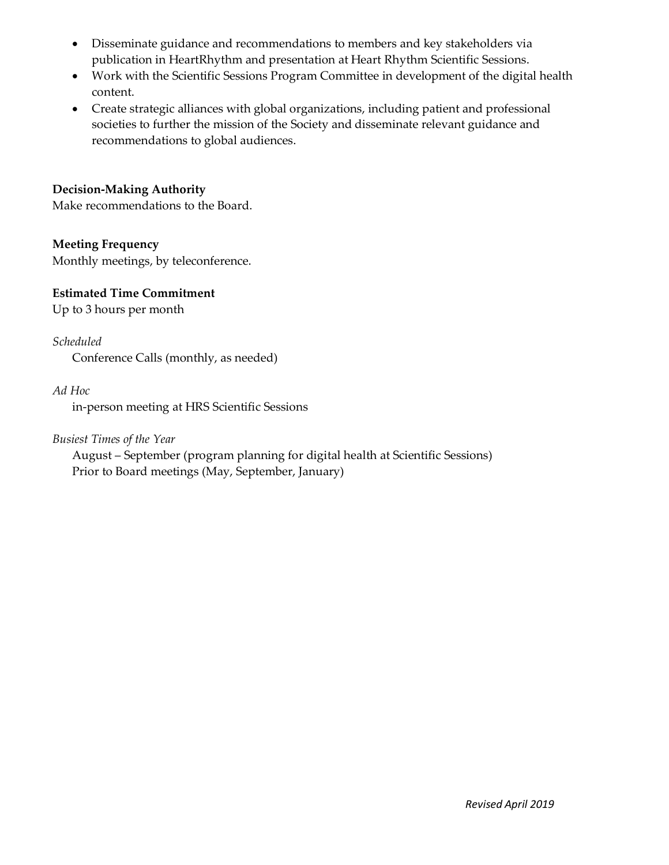- Disseminate guidance and recommendations to members and key stakeholders via publication in HeartRhythm and presentation at Heart Rhythm Scientific Sessions.
- Work with the Scientific Sessions Program Committee in development of the digital health content.
- Create strategic alliances with global organizations, including patient and professional societies to further the mission of the Society and disseminate relevant guidance and recommendations to global audiences.

Make recommendations to the Board.

# **Meeting Frequency**

Monthly meetings, by teleconference.

# **Estimated Time Commitment**

Up to 3 hours per month

# *Scheduled*

Conference Calls (monthly, as needed)

# *Ad Hoc*

in-person meeting at HRS Scientific Sessions

# *Busiest Times of the Year*

August – September (program planning for digital health at Scientific Sessions) Prior to Board meetings (May, September, January)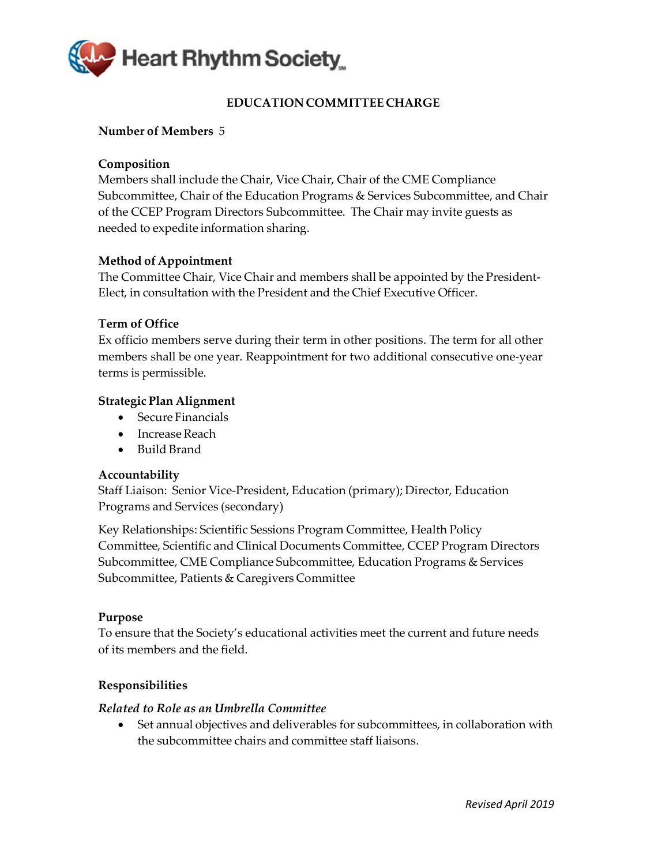

# **EDUCATION COMMITTEE CHARGE**

# <span id="page-15-0"></span>**Number of Members** 5

# **Composition**

Members shall include the Chair, Vice Chair, Chair of the CME Compliance Subcommittee, Chair of the Education Programs & Services Subcommittee, and Chair of the CCEP Program Directors Subcommittee. The Chair may invite guests as needed to expedite information sharing.

# **Method of Appointment**

The Committee Chair, Vice Chair and members shall be appointed by the President‐ Elect, in consultation with the President and the Chief Executive Officer.

# **Term of Office**

Ex officio members serve during their term in other positions. The term for all other members shall be one year. Reappointment for two additional consecutive one‐year terms is permissible.

# **Strategic Plan Alignment**

- Secure Financials
- Increase Reach
- Build Brand

# **Accountability**

Staff Liaison: Senior Vice‐President, Education (primary); Director, Education Programs and Services (secondary)

Key Relationships: Scientific Sessions Program Committee, Health Policy Committee, Scientific and Clinical Documents Committee, CCEP Program Directors Subcommittee, CME Compliance Subcommittee, Education Programs & Services Subcommittee, Patients & Caregivers Committee

### **Purpose**

To ensure that the Society's educational activities meet the current and future needs of its members and the field.

# **Responsibilities**

### *Related to Role as an Umbrella Committee*

• Set annual objectives and deliverables for subcommittees, in collaboration with the subcommittee chairs and committee staff liaisons.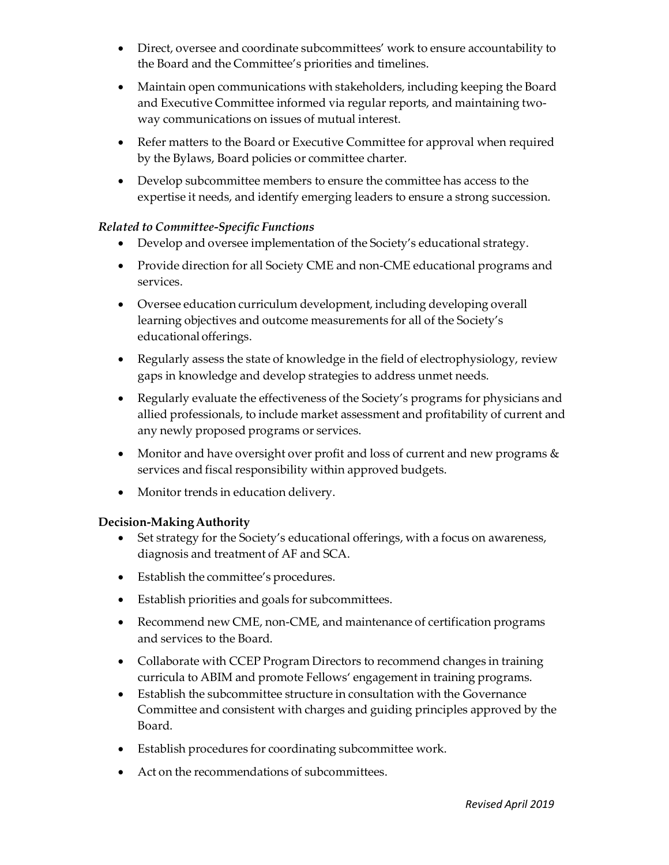- Direct, oversee and coordinate subcommittees' work to ensure accountability to the Board and the Committee's priorities and timelines.
- Maintain open communications with stakeholders, including keeping the Board and Executive Committee informed via regular reports, and maintaining twoway communications on issues of mutual interest.
- Refer matters to the Board or Executive Committee for approval when required by the Bylaws, Board policies or committee charter.
- Develop subcommittee members to ensure the committee has access to the expertise it needs, and identify emerging leaders to ensure a strong succession.

# *Related to Committee‐Specific Functions*

- Develop and oversee implementation of the Society's educational strategy.
- Provide direction for all Society CME and non-CME educational programs and services.
- Oversee education curriculum development, including developing overall learning objectives and outcome measurements for all of the Society's educational offerings.
- Regularly assess the state of knowledge in the field of electrophysiology, review gaps in knowledge and develop strategies to address unmet needs.
- Regularly evaluate the effectiveness of the Society's programs for physicians and allied professionals, to include market assessment and profitability of current and any newly proposed programs or services.
- Monitor and have oversight over profit and loss of current and new programs  $\&$ services and fiscal responsibility within approved budgets.
- Monitor trends in education delivery.

# **Decision-MakingAuthority**

- Set strategy for the Society's educational offerings, with a focus on awareness, diagnosis and treatment of AF and SCA.
- Establish the committee's procedures.
- Establish priorities and goals for subcommittees.
- Recommend new CME, non-CME, and maintenance of certification programs and services to the Board.
- Collaborate with CCEP Program Directors to recommend changes in training curricula to ABIM and promote Fellows' engagement in training programs.
- Establish the subcommittee structure in consultation with the Governance Committee and consistent with charges and guiding principles approved by the Board.
- Establish procedures for coordinating subcommittee work.
- Act on the recommendations of subcommittees.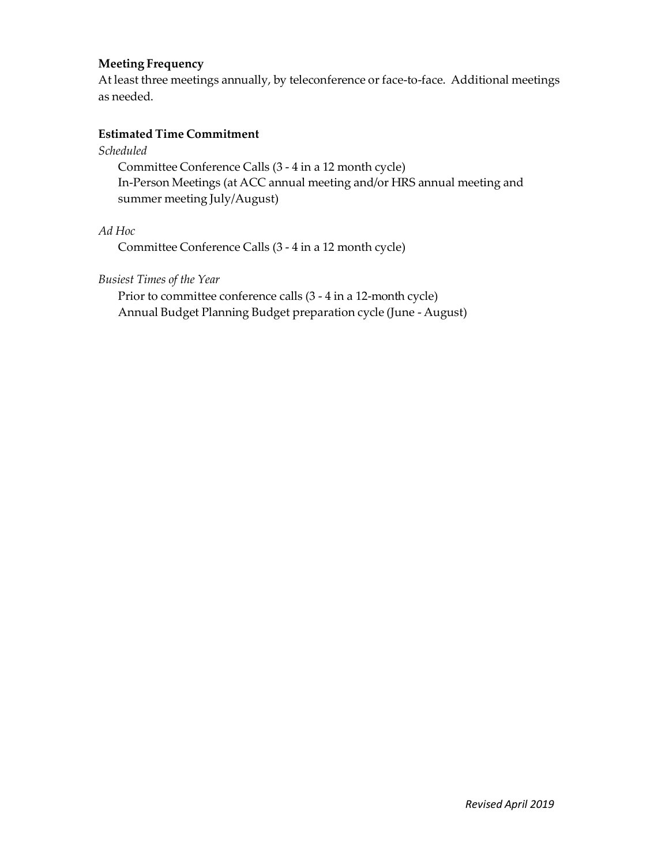# **Meeting Frequency**

At least three meetings annually, by teleconference or face-to-face. Additional meetings as needed.

# **Estimated Time Commitment**

*Scheduled*

Committee Conference Calls (3 ‐ 4 in a 12 month cycle) In‐Person Meetings (at ACC annual meeting and/or HRS annual meeting and summer meeting July/August)

*Ad Hoc*

Committee Conference Calls (3 ‐ 4 in a 12 month cycle)

*Busiest Times of the Year*

Prior to committee conference calls (3 ‐ 4 in a 12-month cycle) Annual Budget Planning Budget preparation cycle (June ‐ August)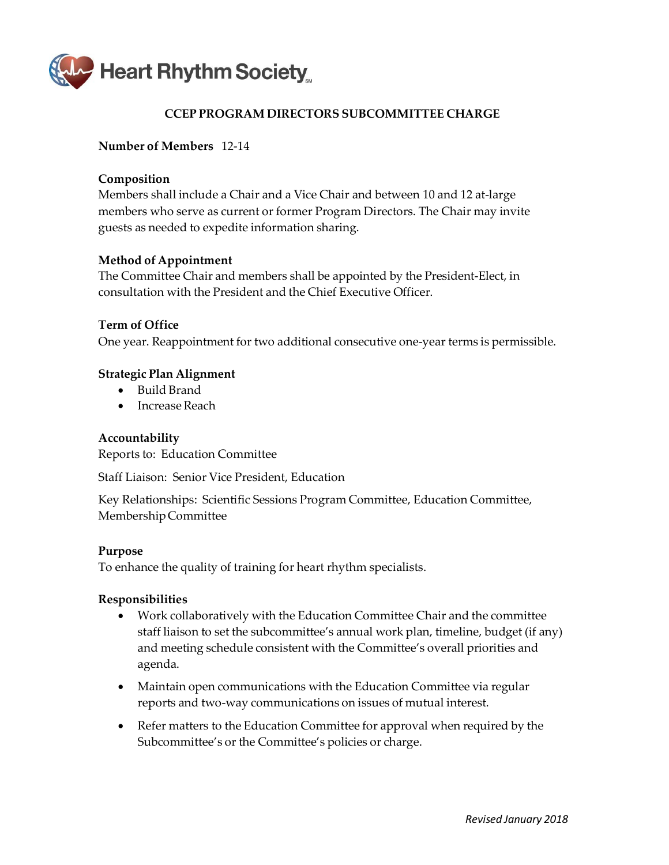<span id="page-18-0"></span>

# **CCEP PROGRAM DIRECTORS SUBCOMMITTEE CHARGE**

### **Number of Members** 12‐14

### **Composition**

Members shall include a Chair and a Vice Chair and between 10 and 12 at‐large members who serve as current or former Program Directors. The Chair may invite guests as needed to expedite information sharing.

### **Method of Appointment**

The Committee Chair and members shall be appointed by the President‐Elect, in consultation with the President and the Chief Executive Officer.

### **Term of Office**

One year. Reappointment for two additional consecutive one‐year terms is permissible.

### **Strategic Plan Alignment**

- Build Brand
- Increase Reach

### **Accountability**

Reports to: Education Committee

Staff Liaison: Senior Vice President, Education

Key Relationships: Scientific Sessions Program Committee, Education Committee, MembershipCommittee

### **Purpose**

To enhance the quality of training for heart rhythm specialists.

- Work collaboratively with the Education Committee Chair and the committee staff liaison to set the subcommittee's annual work plan, timeline, budget (if any) and meeting schedule consistent with the Committee's overall priorities and agenda.
- Maintain open communications with the Education Committee via regular reports and two‐way communications on issues of mutual interest.
- Refer matters to the Education Committee for approval when required by the Subcommittee's or the Committee's policies or charge.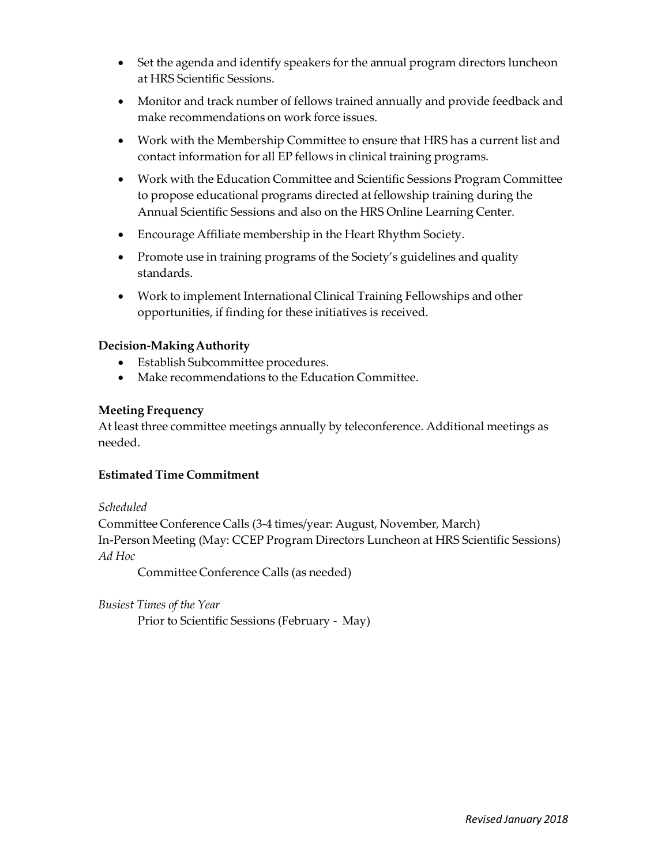- Set the agenda and identify speakers for the annual program directors luncheon at HRS Scientific Sessions.
- Monitor and track number of fellows trained annually and provide feedback and make recommendations on work force issues.
- Work with the Membership Committee to ensure that HRS has a current list and contact information for all EP fellows in clinical training programs.
- Work with the Education Committee and Scientific Sessions Program Committee to propose educational programs directed at fellowship training during the Annual Scientific Sessions and also on the HRS Online Learning Center.
- Encourage Affiliate membership in the Heart Rhythm Society.
- Promote use in training programs of the Society's guidelines and quality standards.
- Work to implement International Clinical Training Fellowships and other opportunities, if finding for these initiatives is received.

- Establish Subcommittee procedures.
- Make recommendations to the Education Committee.

# **Meeting Frequency**

At least three committee meetings annually by teleconference. Additional meetings as needed.

# **Estimated Time Commitment**

*Scheduled*

Committee Conference Calls (3‐4 times/year: August, November, March) In‐Person Meeting (May: CCEP Program Directors Luncheon at HRS Scientific Sessions) *Ad Hoc*

Committee Conference Calls (as needed)

# *Busiest Times of the Year*

Prior to Scientific Sessions (February ‐ May)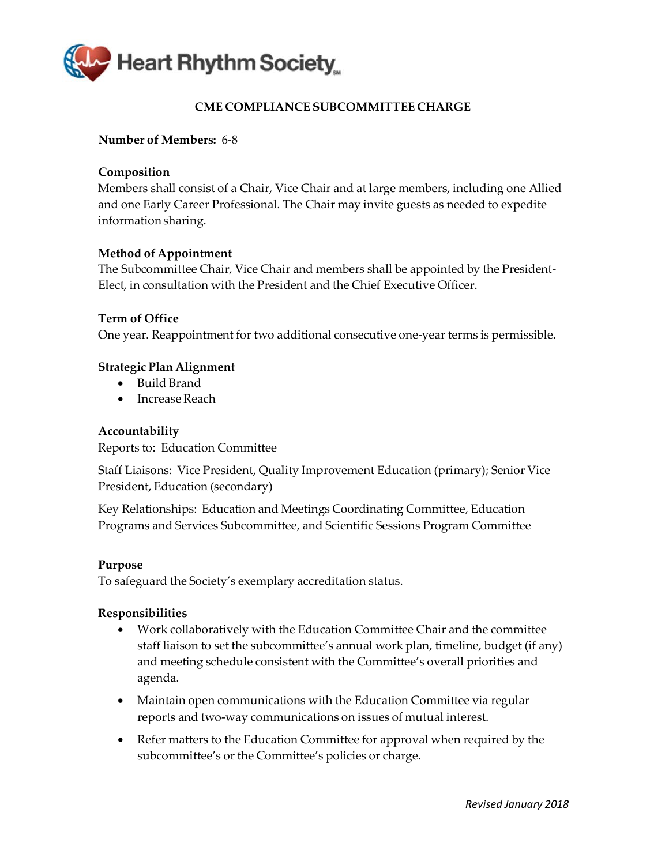<span id="page-20-0"></span>

# **CME COMPLIANCE SUBCOMMITTEE CHARGE**

### **Number of Members:** 6‐8

### **Composition**

Members shall consist of a Chair, Vice Chair and at large members, including one Allied and one Early Career Professional. The Chair may invite guests as needed to expedite informationsharing.

### **Method of Appointment**

The Subcommittee Chair, Vice Chair and members shall be appointed by the President‐ Elect, in consultation with the President and the Chief Executive Officer.

### **Term of Office**

One year. Reappointment for two additional consecutive one‐year terms is permissible.

### **Strategic Plan Alignment**

- Build Brand
- Increase Reach

### **Accountability**

Reports to: Education Committee

Staff Liaisons: Vice President, Quality Improvement Education (primary); Senior Vice President, Education (secondary)

Key Relationships: Education and Meetings Coordinating Committee, Education Programs and Services Subcommittee, and Scientific Sessions Program Committee

### **Purpose**

To safeguard the Society's exemplary accreditation status.

- Work collaboratively with the Education Committee Chair and the committee staff liaison to set the subcommittee's annual work plan, timeline, budget (if any) and meeting schedule consistent with the Committee's overall priorities and agenda.
- Maintain open communications with the Education Committee via regular reports and two‐way communications on issues of mutual interest.
- Refer matters to the Education Committee for approval when required by the subcommittee's or the Committee's policies or charge.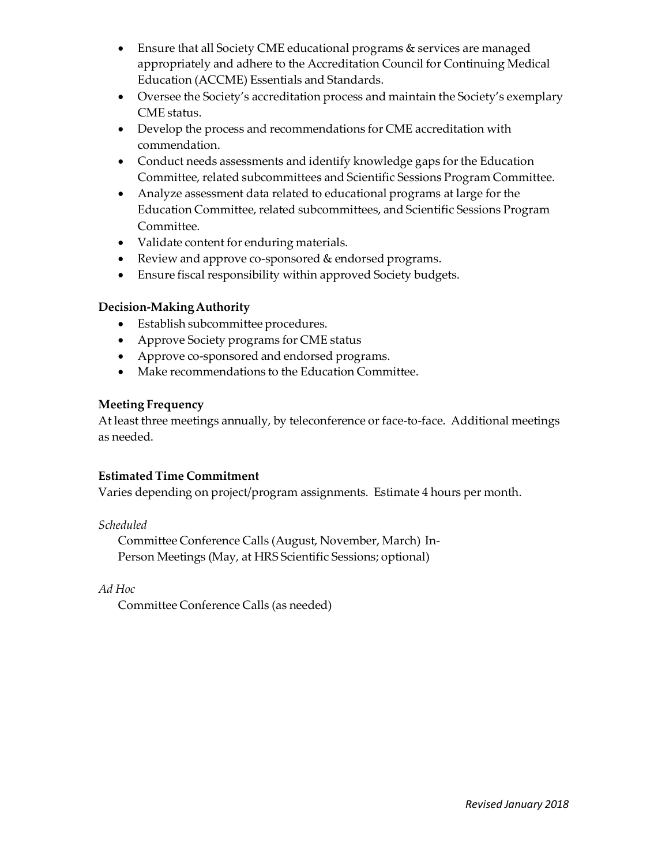- Ensure that all Society CME educational programs & services are managed appropriately and adhere to the Accreditation Council for Continuing Medical Education (ACCME) Essentials and Standards.
- Oversee the Society's accreditation process and maintain the Society's exemplary CME status.
- Develop the process and recommendations for CME accreditation with commendation.
- Conduct needs assessments and identify knowledge gaps for the Education Committee, related subcommittees and Scientific Sessions Program Committee.
- Analyze assessment data related to educational programs at large for the Education Committee, related subcommittees, and Scientific Sessions Program Committee.
- Validate content for enduring materials.
- Review and approve co-sponsored & endorsed programs.
- Ensure fiscal responsibility within approved Society budgets.

- Establish subcommittee procedures.
- Approve Society programs for CME status
- Approve co-sponsored and endorsed programs.
- Make recommendations to the Education Committee.

# **Meeting Frequency**

At least three meetings annually, by teleconference or face-to-face. Additional meetings as needed.

# **Estimated Time Commitment**

Varies depending on project/program assignments. Estimate 4 hours per month.

*Scheduled*

Committee Conference Calls (August, November, March) In‐ Person Meetings (May, at HRS Scientific Sessions; optional)

*Ad Hoc*

Committee Conference Calls (as needed)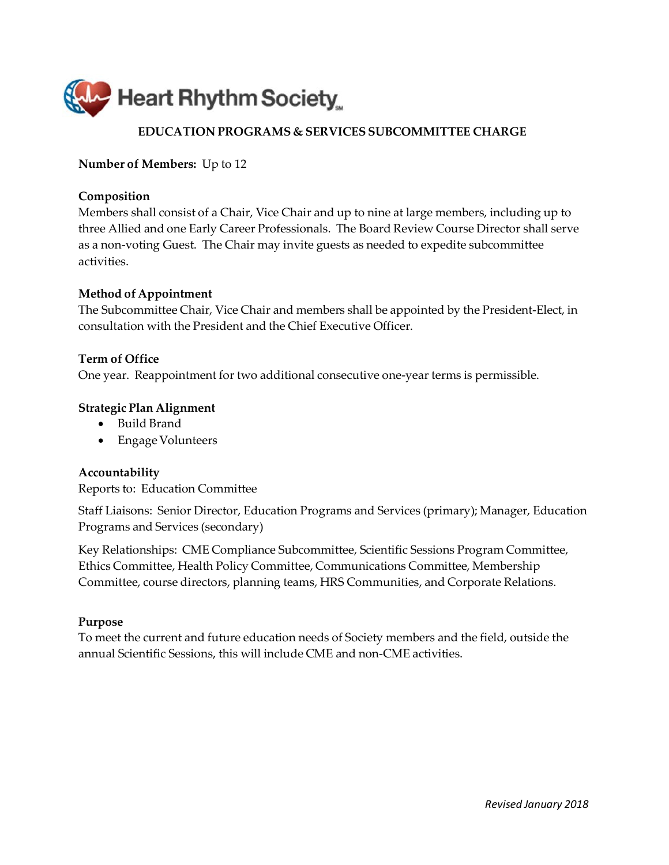<span id="page-22-0"></span>

# **EDUCATION PROGRAMS & SERVICES SUBCOMMITTEE CHARGE**

**Number of Members:** Up to 12

### **Composition**

Members shall consist of a Chair, Vice Chair and up to nine at large members, including up to three Allied and one Early Career Professionals. The Board Review Course Director shall serve as a non‐voting Guest. The Chair may invite guests as needed to expedite subcommittee activities.

### **Method of Appointment**

The Subcommittee Chair, Vice Chair and members shall be appointed by the President‐Elect, in consultation with the President and the Chief Executive Officer.

### **Term of Office**

One year. Reappointment for two additional consecutive one‐year terms is permissible.

### **Strategic Plan Alignment**

- Build Brand
- Engage Volunteers

### **Accountability**

Reports to: Education Committee

Staff Liaisons: Senior Director, Education Programs and Services (primary); Manager, Education Programs and Services (secondary)

Key Relationships: CME Compliance Subcommittee, Scientific Sessions Program Committee, Ethics Committee, Health Policy Committee, Communications Committee, Membership Committee, course directors, planning teams, HRS Communities, and Corporate Relations.

### **Purpose**

To meet the current and future education needs of Society members and the field, outside the annual Scientific Sessions, this will include CME and non‐CME activities.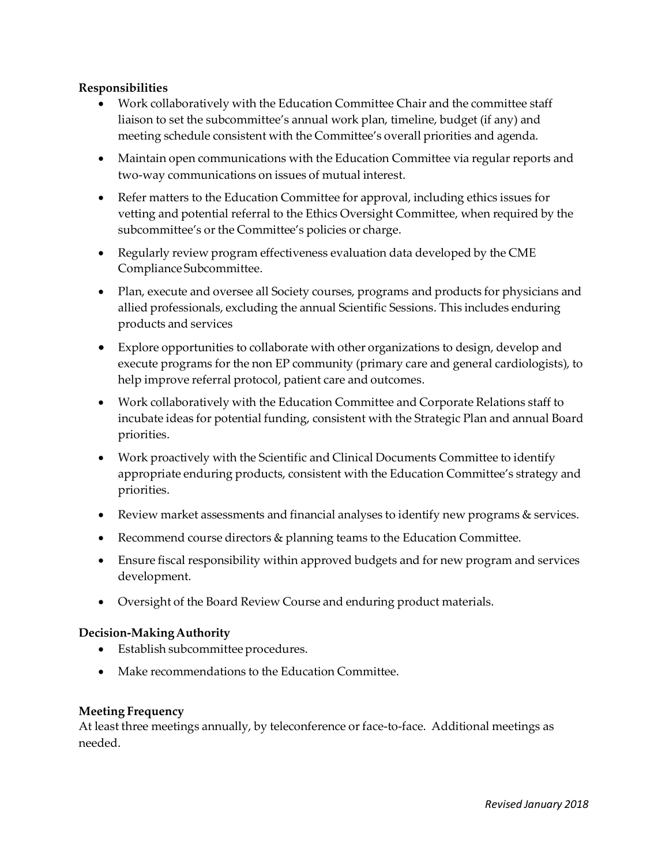# **Responsibilities**

- Work collaboratively with the Education Committee Chair and the committee staff liaison to set the subcommittee's annual work plan, timeline, budget (if any) and meeting schedule consistent with the Committee's overall priorities and agenda.
- Maintain open communications with the Education Committee via regular reports and two‐way communications on issues of mutual interest.
- Refer matters to the Education Committee for approval, including ethics issues for vetting and potential referral to the Ethics Oversight Committee, when required by the subcommittee's or the Committee's policies or charge.
- Regularly review program effectiveness evaluation data developed by the CME ComplianceSubcommittee.
- Plan, execute and oversee all Society courses, programs and products for physicians and allied professionals, excluding the annual Scientific Sessions. This includes enduring products and services
- Explore opportunities to collaborate with other organizations to design, develop and execute programs for the non EP community (primary care and general cardiologists), to help improve referral protocol, patient care and outcomes.
- Work collaboratively with the Education Committee and Corporate Relations staff to incubate ideas for potential funding, consistent with the Strategic Plan and annual Board priorities.
- Work proactively with the Scientific and Clinical Documents Committee to identify appropriate enduring products, consistent with the Education Committee's strategy and priorities.
- Review market assessments and financial analyses to identify new programs & services.
- Recommend course directors & planning teams to the Education Committee.
- Ensure fiscal responsibility within approved budgets and for new program and services development.
- Oversight of the Board Review Course and enduring product materials.

### **Decision-MakingAuthority**

- Establish subcommittee procedures.
- Make recommendations to the Education Committee.

### **Meeting Frequency**

At least three meetings annually, by teleconference or face-to-face. Additional meetings as needed.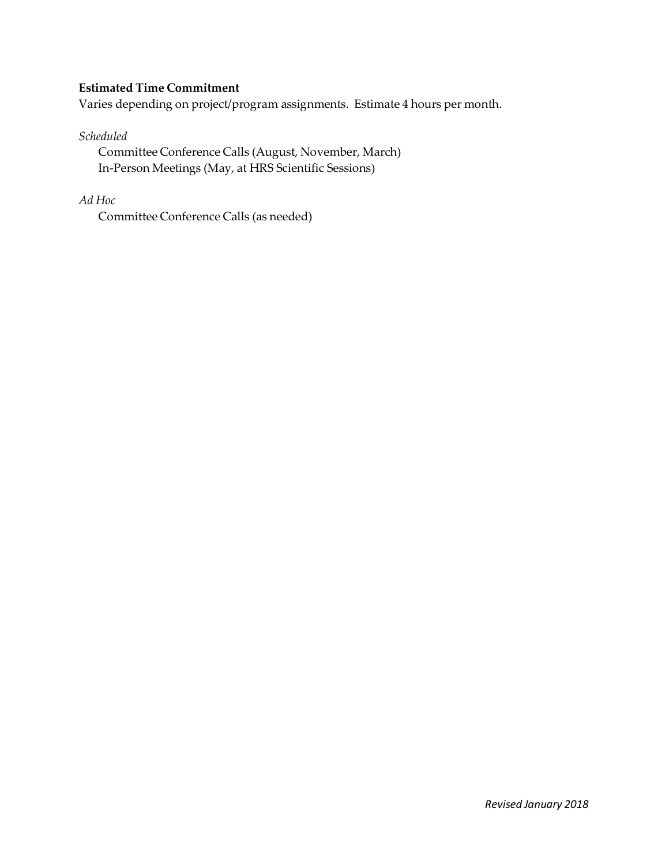# **Estimated Time Commitment**

Varies depending on project/program assignments. Estimate 4 hours per month.

### *Scheduled*

Committee Conference Calls (August, November, March) In‐Person Meetings (May, at HRS Scientific Sessions)

# *Ad Hoc*

Committee Conference Calls (as needed)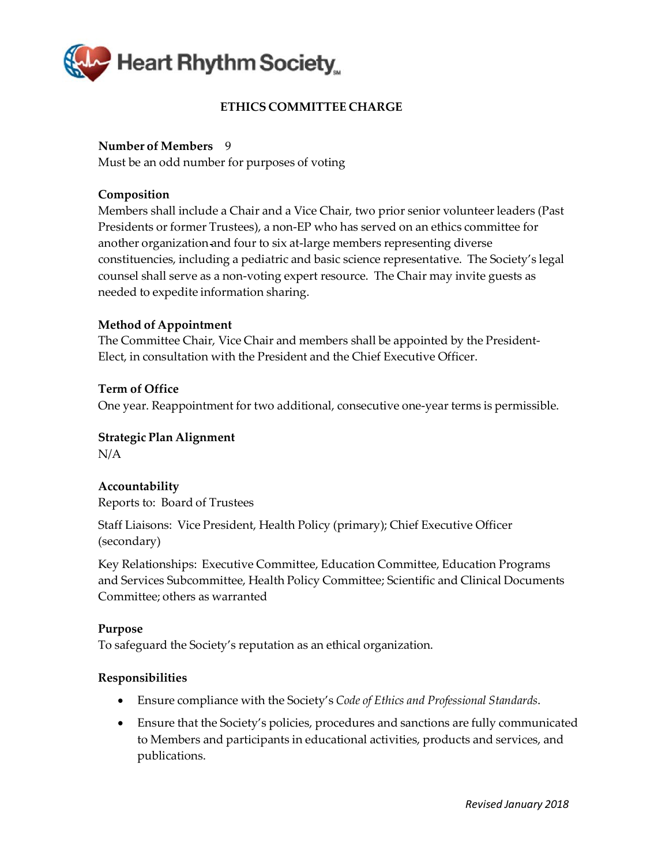<span id="page-25-0"></span>

# **ETHICS COMMITTEE CHARGE**

# **Number of Members** 9

Must be an odd number for purposes of voting

# **Composition**

Members shall include a Chair and a Vice Chair, two prior senior volunteerleaders (Past Presidents or former Trustees), a non‐EP who has served on an ethics committee for another organization and four to six at‐large members representing diverse constituencies, including a pediatric and basic science representative. The Society's legal counsel shall serve as a non‐voting expert resource. The Chair may invite guests as needed to expedite information sharing.

# **Method of Appointment**

The Committee Chair, Vice Chair and members shall be appointed by the President‐ Elect, in consultation with the President and the Chief Executive Officer.

# **Term of Office**

One year. Reappointment for two additional, consecutive one‐year terms is permissible.

# **Strategic Plan Alignment**

N/A

# **Accountability** Reports to: Board of Trustees

Staff Liaisons: Vice President, Health Policy (primary); Chief Executive Officer (secondary)

Key Relationships: Executive Committee, Education Committee, Education Programs and Services Subcommittee, Health Policy Committee; Scientific and Clinical Documents Committee; others as warranted

### **Purpose**

To safeguard the Society's reputation as an ethical organization.

- Ensure compliance with the Society's *Code of Ethics and Professional Standards*.
- Ensure that the Society's policies, procedures and sanctions are fully communicated to Members and participants in educational activities, products and services, and publications.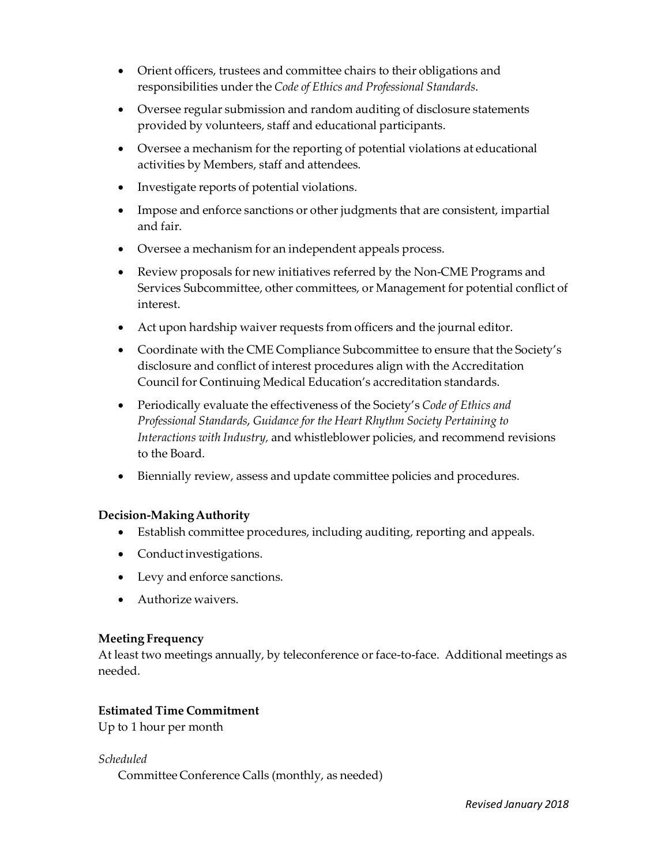- Orient officers, trustees and committee chairs to their obligations and responsibilities underthe *Code of Ethics and Professional Standards*.
- Oversee regular submission and random auditing of disclosure statements provided by volunteers, staff and educational participants.
- Oversee a mechanism for the reporting of potential violations at educational activities by Members, staff and attendees.
- Investigate reports of potential violations.
- Impose and enforce sanctions or other judgments that are consistent, impartial and fair.
- Oversee a mechanism for an independent appeals process.
- Review proposals for new initiatives referred by the Non‐CME Programs and Services Subcommittee, other committees, or Management for potential conflict of interest.
- Act upon hardship waiver requests from officers and the journal editor.
- Coordinate with the CME Compliance Subcommittee to ensure that the Society's disclosure and conflict of interest procedures align with the Accreditation Council for Continuing Medical Education's accreditation standards.
- Periodically evaluate the effectiveness of the Society's *Code of Ethics and Professional Standards*, *Guidance for the Heart Rhythm Society Pertaining to Interactions with Industry,* and whistleblower policies, and recommend revisions to the Board.
- Biennially review, assess and update committee policies and procedures.

- Establish committee procedures, including auditing, reporting and appeals.
- Conductinvestigations.
- Levy and enforce sanctions.
- Authorize waivers.

# **Meeting Frequency**

At least two meetings annually, by teleconference or face-to-face. Additional meetings as needed.

# **Estimated Time Commitment**

Up to 1 hour per month

*Scheduled*

Committee Conference Calls (monthly, as needed)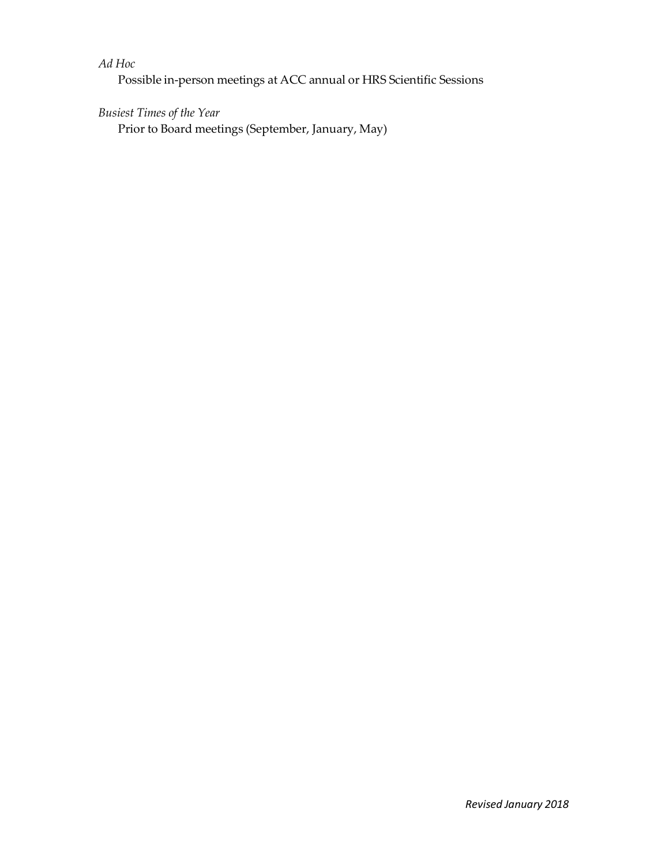# *Ad Hoc*

Possible in‐person meetings at ACC annual or HRS Scientific Sessions

# *Busiest Times of the Year*

Prior to Board meetings (September, January, May)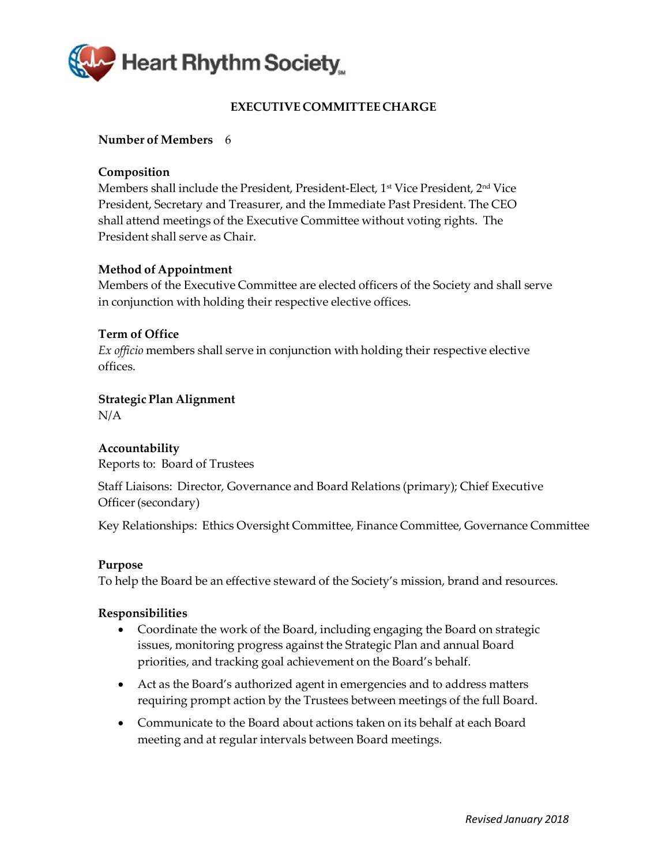<span id="page-28-0"></span>

# **EXECUTIVE COMMITTEE CHARGE**

### **Number of Members** 6

### **Composition**

Members shall include the President, President-Elect, 1<sup>st</sup> Vice President, 2<sup>nd</sup> Vice President, Secretary and Treasurer, and the Immediate Past President. The CEO shall attend meetings of the Executive Committee without voting rights. The President shall serve as Chair.

### **Method of Appointment**

Members of the Executive Committee are elected officers of the Society and shall serve in conjunction with holding their respective elective offices.

### **Term of Office**

*Ex officio* members shall serve in conjunction with holding their respective elective offices.

### **Strategic Plan Alignment**

N/A

# **Accountability**

Reports to: Board of Trustees

Staff Liaisons: Director, Governance and Board Relations (primary); Chief Executive Officer(secondary)

Key Relationships: Ethics Oversight Committee, Finance Committee, Governance Committee

### **Purpose**

To help the Board be an effective steward of the Society's mission, brand and resources.

- Coordinate the work of the Board, including engaging the Board on strategic issues, monitoring progress against the Strategic Plan and annual Board priorities, and tracking goal achievement on the Board's behalf.
- Act as the Board's authorized agent in emergencies and to address matters requiring prompt action by the Trustees between meetings of the full Board.
- Communicate to the Board about actions taken on its behalf at each Board meeting and at regular intervals between Board meetings.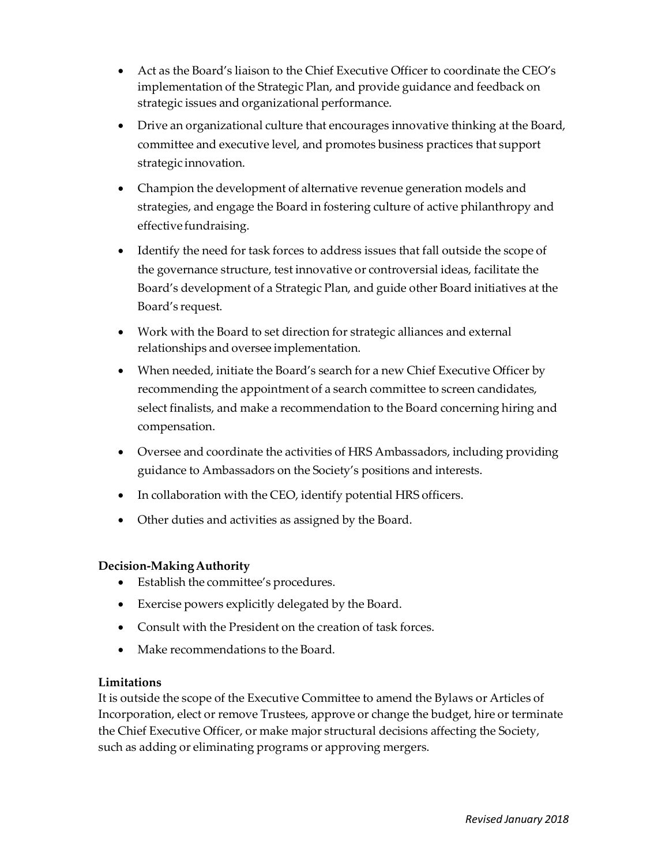- Act as the Board's liaison to the Chief Executive Officer to coordinate the CEO's implementation of the Strategic Plan, and provide guidance and feedback on strategic issues and organizational performance.
- Drive an organizational culture that encourages innovative thinking at the Board, committee and executive level, and promotes business practices that support strategic innovation.
- Champion the development of alternative revenue generation models and strategies, and engage the Board in fostering culture of active philanthropy and effective fundraising.
- Identify the need for task forces to address issues that fall outside the scope of the governance structure, test innovative or controversial ideas, facilitate the Board's development of a Strategic Plan, and guide other Board initiatives at the Board's request.
- Work with the Board to set direction for strategic alliances and external relationships and oversee implementation.
- When needed, initiate the Board's search for a new Chief Executive Officer by recommending the appointment of a search committee to screen candidates, select finalists, and make a recommendation to the Board concerning hiring and compensation.
- Oversee and coordinate the activities of HRS Ambassadors, including providing guidance to Ambassadors on the Society's positions and interests.
- In collaboration with the CEO, identify potential HRS officers.
- Other duties and activities as assigned by the Board.

- Establish the committee's procedures.
- Exercise powers explicitly delegated by the Board.
- Consult with the President on the creation of task forces.
- Make recommendations to the Board.

# **Limitations**

It is outside the scope of the Executive Committee to amend the Bylaws or Articles of Incorporation, elect or remove Trustees, approve or change the budget, hire or terminate the Chief Executive Officer, or make major structural decisions affecting the Society, such as adding or eliminating programs or approving mergers.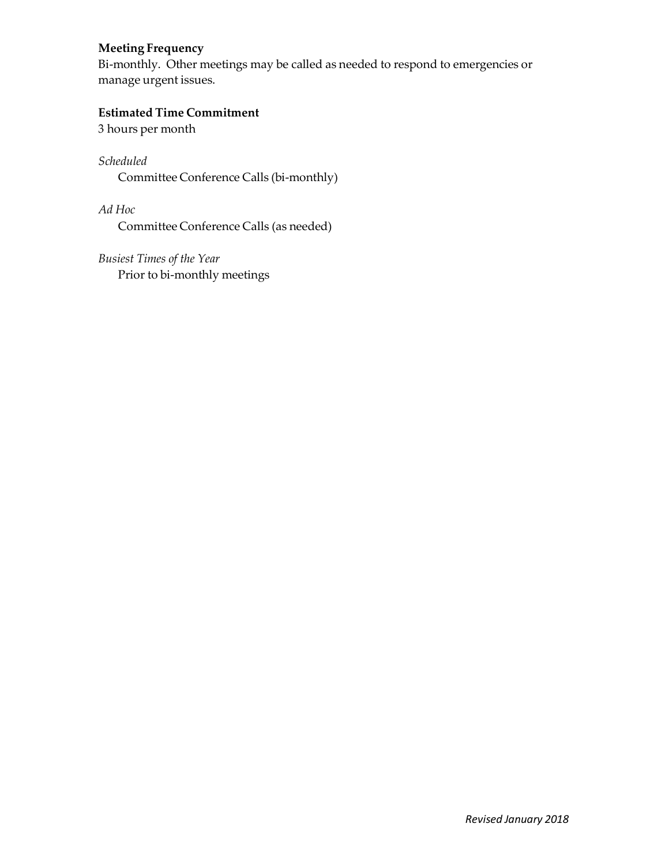# **Meeting Frequency**

Bi-monthly. Other meetings may be called as needed to respond to emergencies or manage urgent issues.

# **Estimated Time Commitment**

3 hours per month

*Scheduled* Committee Conference Calls (bi‐monthly)

*Ad Hoc* Committee Conference Calls (as needed)

*Busiest Times of the Year* Prior to bi-monthly meetings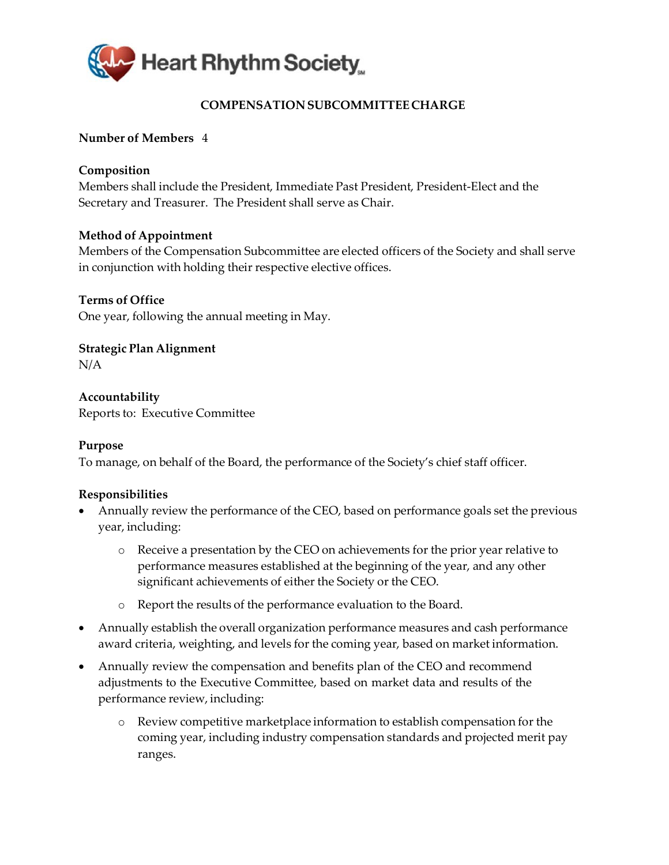

# **COMPENSATION SUBCOMMITTEECHARGE**

# <span id="page-31-0"></span>**Number of Members** 4

### **Composition**

Members shall include the President, Immediate Past President, President‐Elect and the Secretary and Treasurer. The President shall serve as Chair.

### **Method of Appointment**

Members of the Compensation Subcommittee are elected officers of the Society and shall serve in conjunction with holding their respective elective offices.

### **Terms of Office**

One year, following the annual meeting in May.

**Strategic Plan Alignment** N/A

**Accountability** Reports to: Executive Committee

### **Purpose**

To manage, on behalf of the Board, the performance of the Society's chief staff officer.

- Annually review the performance of the CEO, based on performance goals set the previous year, including:
	- o Receive a presentation by the CEO on achievements for the prior year relative to performance measures established at the beginning of the year, and any other significant achievements of either the Society or the CEO.
	- o Report the results of the performance evaluation to the Board.
- Annually establish the overall organization performance measures and cash performance award criteria, weighting, and levels for the coming year, based on market information.
- Annually review the compensation and benefits plan of the CEO and recommend adjustments to the Executive Committee, based on market data and results of the performance review, including:
	- o Review competitive marketplace information to establish compensation for the coming year, including industry compensation standards and projected merit pay ranges.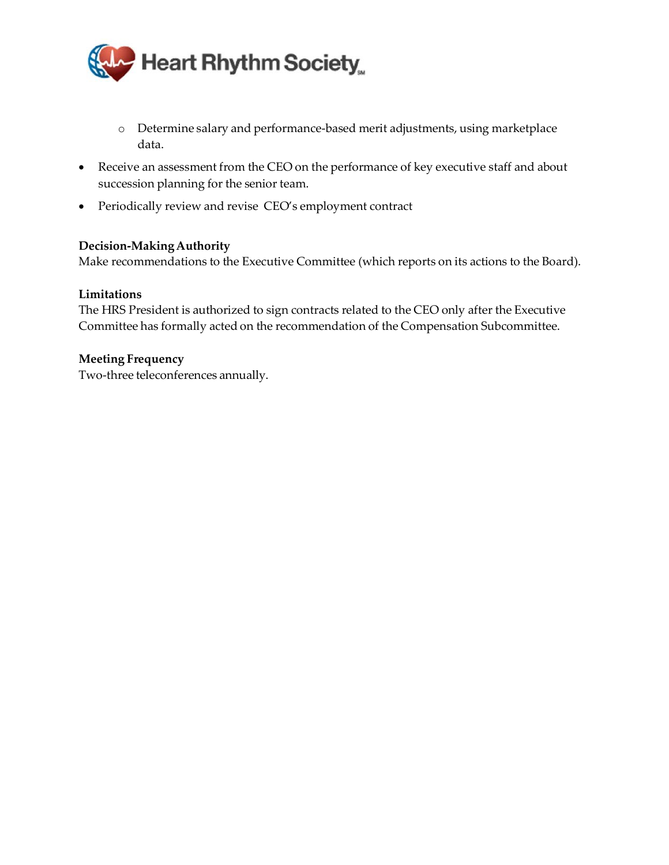

- o Determine salary and performance‐based merit adjustments, using marketplace data.
- Receive an assessment from the CEO on the performance of key executive staff and about succession planning for the senior team.
- Periodically review and revise CEO's employment contract

Make recommendations to the Executive Committee (which reports on its actions to the Board).

### **Limitations**

The HRS President is authorized to sign contracts related to the CEO only after the Executive Committee has formally acted on the recommendation of the Compensation Subcommittee.

### **Meeting Frequency**

Two‐three teleconferences annually.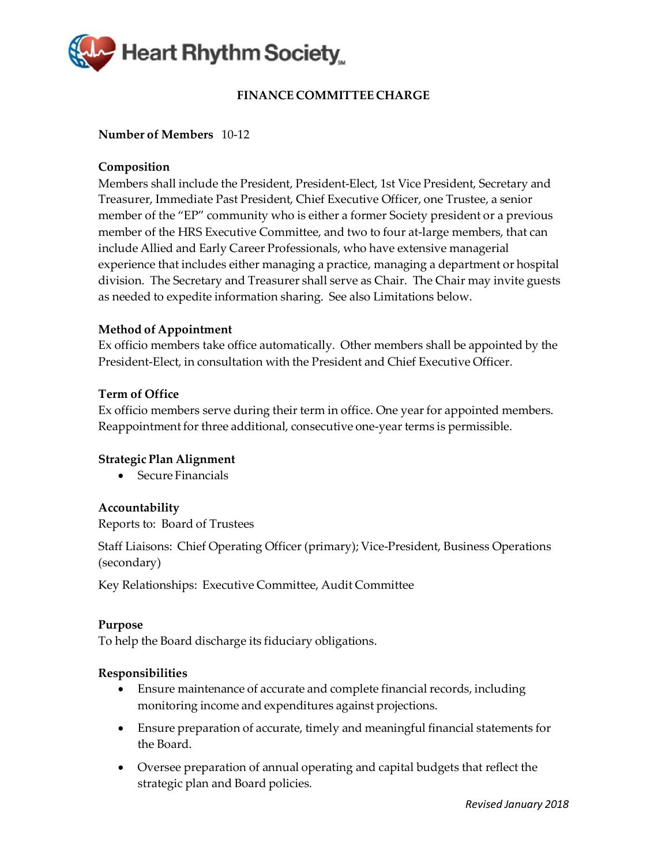<span id="page-33-0"></span>

# **FINANCE COMMITTEE CHARGE**

### **Number of Members** 10‐12

### **Composition**

Members shall include the President, President‐Elect, 1st Vice President, Secretary and Treasurer, Immediate Past President, Chief Executive Officer, one Trustee, a senior member of the "EP" community who is either a former Society president or a previous member of the HRS Executive Committee, and two to four at-large members, that can include Allied and Early Career Professionals, who have extensive managerial experience that includes either managing a practice, managing a department or hospital division. The Secretary and Treasurer shall serve as Chair. The Chair may invite guests as needed to expedite information sharing. See also Limitations below.

### **Method of Appointment**

Ex officio members take office automatically. Other members shall be appointed by the President‐Elect, in consultation with the President and Chief Executive Officer.

### **Term of Office**

Ex officio members serve during their term in office. One year for appointed members. Reappointment for three additional, consecutive one‐year terms is permissible.

### **Strategic Plan Alignment**

• Secure Financials

### **Accountability**

Reports to: Board of Trustees

Staff Liaisons: Chief Operating Officer (primary); Vice-President, Business Operations (secondary)

Key Relationships: Executive Committee, Audit Committee

### **Purpose**

To help the Board discharge its fiduciary obligations.

- Ensure maintenance of accurate and complete financial records, including monitoring income and expenditures against projections.
- Ensure preparation of accurate, timely and meaningful financial statements for the Board.
- Oversee preparation of annual operating and capital budgets that reflect the strategic plan and Board policies.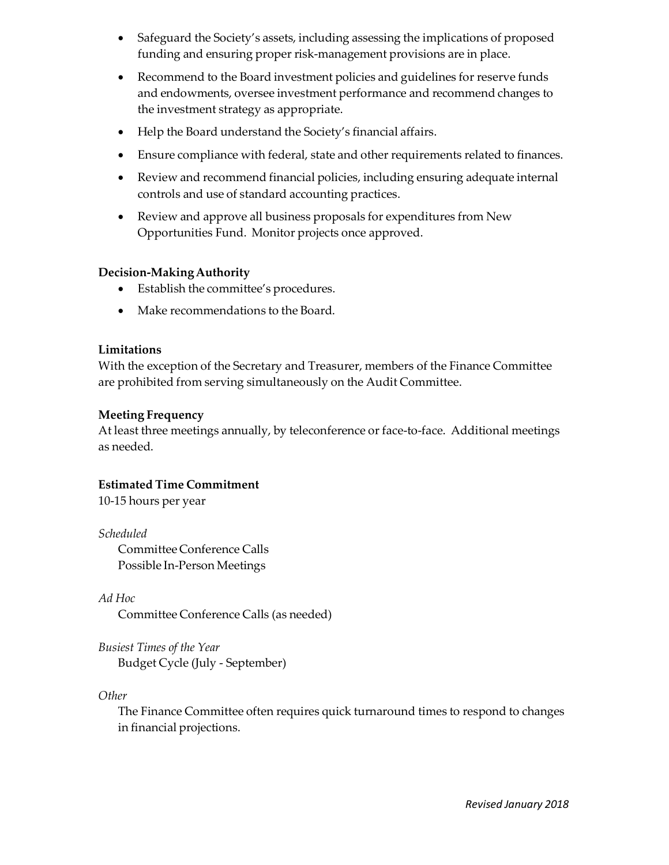- Safeguard the Society's assets, including assessing the implications of proposed funding and ensuring proper risk‐management provisions are in place.
- Recommend to the Board investment policies and guidelines for reserve funds and endowments, oversee investment performance and recommend changes to the investment strategy as appropriate.
- Help the Board understand the Society's financial affairs.
- Ensure compliance with federal, state and other requirements related to finances.
- Review and recommend financial policies, including ensuring adequate internal controls and use of standard accounting practices.
- Review and approve all business proposals for expenditures from New Opportunities Fund. Monitor projects once approved.

- Establish the committee's procedures.
- Make recommendations to the Board.

# **Limitations**

With the exception of the Secretary and Treasurer, members of the Finance Committee are prohibited from serving simultaneously on the Audit Committee.

# **Meeting Frequency**

At least three meetings annually, by teleconference or face-to-face. Additional meetings as needed.

# **Estimated Time Commitment**

10‐15 hours per year

*Scheduled* Committee Conference Calls Possible In‐Person Meetings

*Ad Hoc* Committee Conference Calls (as needed)

*Busiest Times of the Year* Budget Cycle (July ‐ September)

*Other*

The Finance Committee often requires quick turnaround times to respond to changes in financial projections.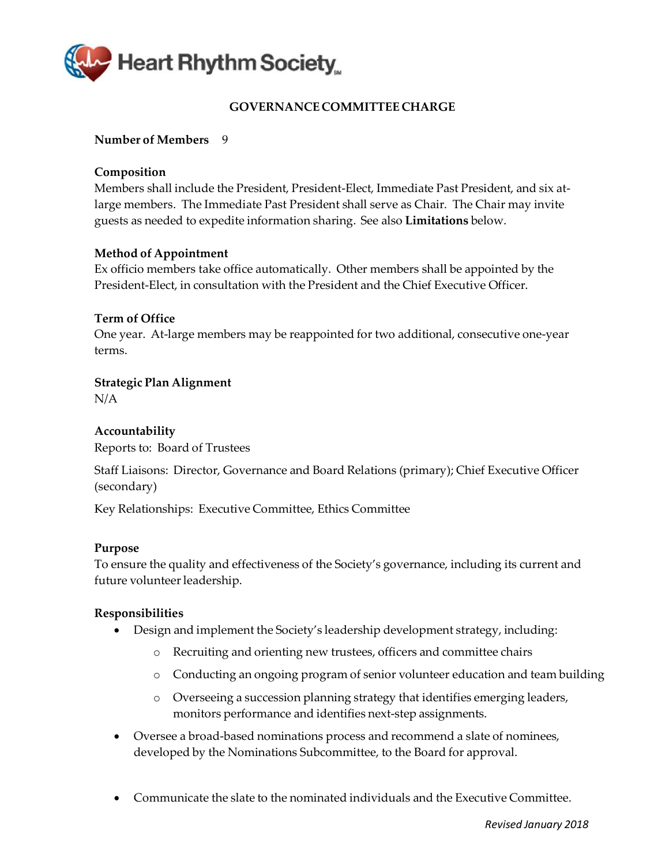<span id="page-35-0"></span>

# **GOVERNANCE COMMITTEE CHARGE**

### **Number of Members** 9

### **Composition**

Members shall include the President, President-Elect, Immediate Past President, and six atlarge members. The Immediate Past President shall serve as Chair. The Chair may invite guests as needed to expedite information sharing. See also **Limitations** below.

### **Method of Appointment**

Ex officio members take office automatically. Other members shall be appointed by the President‐Elect, in consultation with the President and the Chief Executive Officer.

### **Term of Office**

One year. At‐large members may be reappointed for two additional, consecutive one‐year terms.

# **Strategic Plan Alignment**

N/A

# **Accountability**

Reports to: Board of Trustees

Staff Liaisons: Director, Governance and Board Relations (primary); Chief Executive Officer (secondary)

Key Relationships: Executive Committee, Ethics Committee

### **Purpose**

To ensure the quality and effectiveness of the Society's governance, including its current and future volunteerleadership.

- Design and implement the Society's leadership development strategy, including:
	- o Recruiting and orienting new trustees, officers and committee chairs
	- o Conducting an ongoing program of senior volunteer education and team building
	- o Overseeing a succession planning strategy that identifies emerging leaders, monitors performance and identifies next‐step assignments.
- Oversee a broad-based nominations process and recommend a slate of nominees, developed by the Nominations Subcommittee, to the Board for approval.
- Communicate the slate to the nominated individuals and the Executive Committee.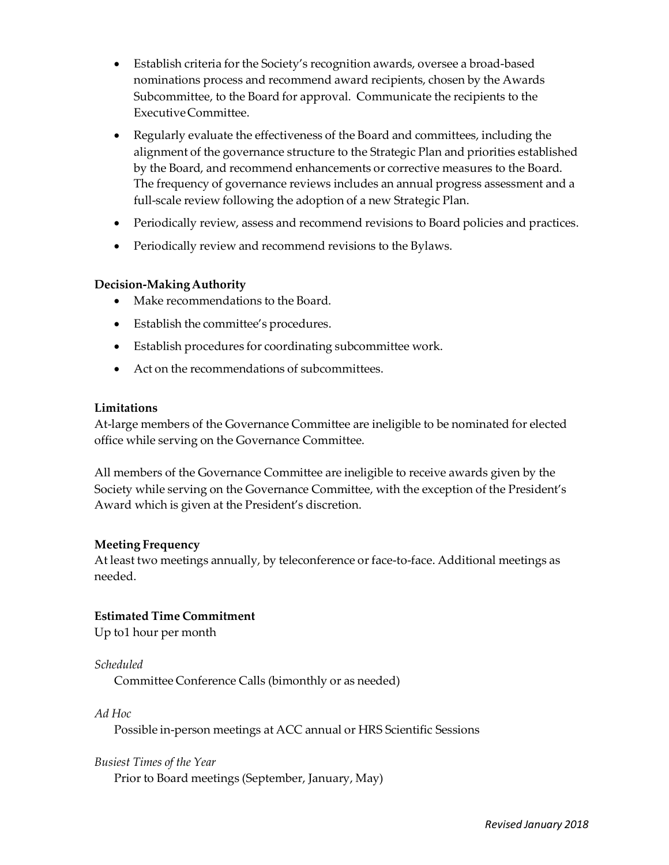- Establish criteria for the Society's recognition awards, oversee a broad-based nominations process and recommend award recipients, chosen by the Awards Subcommittee, to the Board for approval. Communicate the recipients to the ExecutiveCommittee.
- Regularly evaluate the effectiveness of the Board and committees, including the alignment of the governance structure to the Strategic Plan and priorities established by the Board, and recommend enhancements or corrective measures to the Board. The frequency of governance reviews includes an annual progress assessment and a full-scale review following the adoption of a new Strategic Plan.
- Periodically review, assess and recommend revisions to Board policies and practices.
- Periodically review and recommend revisions to the Bylaws.

- Make recommendations to the Board.
- Establish the committee's procedures.
- Establish procedures for coordinating subcommittee work.
- Act on the recommendations of subcommittees.

### **Limitations**

At-large members of the Governance Committee are ineligible to be nominated for elected office while serving on the Governance Committee.

All members of the Governance Committee are ineligible to receive awards given by the Society while serving on the Governance Committee, with the exception of the President's Award which is given at the President's discretion.

### **Meeting Frequency**

At least two meetings annually, by teleconference or face-to-face. Additional meetings as needed.

### **Estimated Time Commitment**

Up to1 hour per month

### *Scheduled*

Committee Conference Calls (bimonthly or as needed)

*Ad Hoc*

Possible in‐person meetings at ACC annual or HRS Scientific Sessions

### *Busiest Times of the Year*

Prior to Board meetings (September, January, May)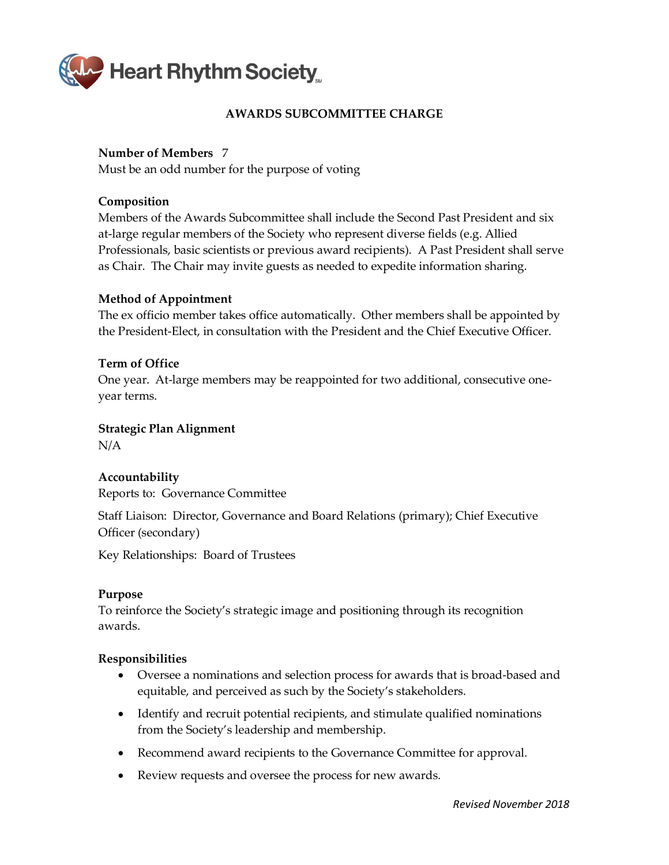<span id="page-37-0"></span>

# **AWARDS SUBCOMMITTEE CHARGE**

# **Number of Members** 7

Must be an odd number for the purpose of voting

# **Composition**

Members of the Awards Subcommittee shall include the Second Past President and six at-large regular members of the Society who represent diverse fields (e.g. Allied Professionals, basic scientists or previous award recipients). A Past President shall serve as Chair. The Chair may invite guests as needed to expedite information sharing.

### **Method of Appointment**

The ex officio member takes office automatically. Other members shall be appointed by the President-Elect, in consultation with the President and the Chief Executive Officer.

# **Term of Office**

One year. At-large members may be reappointed for two additional, consecutive oneyear terms.

**Strategic Plan Alignment** N/A

# **Accountability**

Reports to: Governance Committee

Staff Liaison: Director, Governance and Board Relations (primary); Chief Executive Officer (secondary)

Key Relationships: Board of Trustees

### **Purpose**

To reinforce the Society's strategic image and positioning through its recognition awards.

- Oversee a nominations and selection process for awards that is broad-based and equitable, and perceived as such by the Society's stakeholders.
- Identify and recruit potential recipients, and stimulate qualified nominations from the Society's leadership and membership.
- Recommend award recipients to the Governance Committee for approval.
- Review requests and oversee the process for new awards.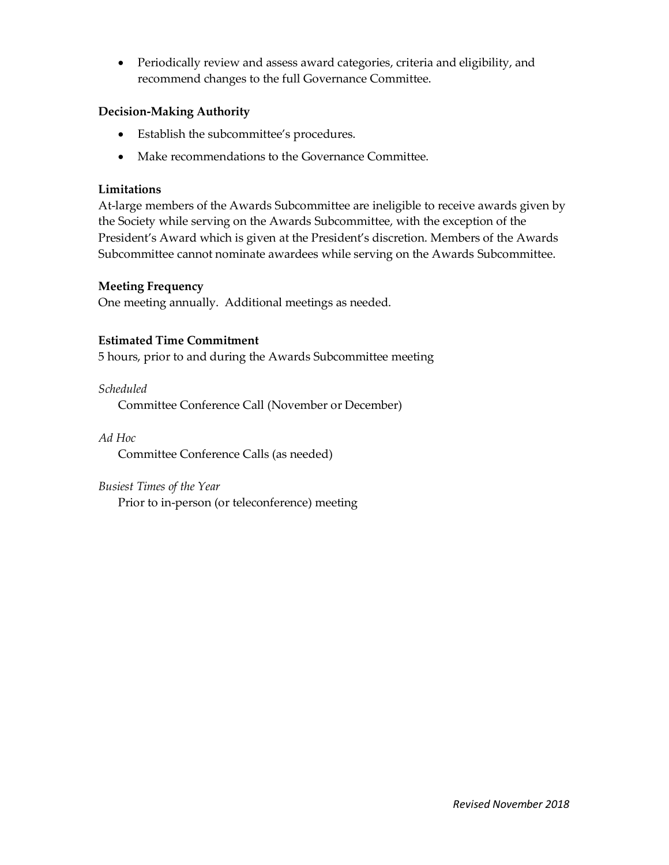• Periodically review and assess award categories, criteria and eligibility, and recommend changes to the full Governance Committee.

# **Decision-Making Authority**

- Establish the subcommittee's procedures.
- Make recommendations to the Governance Committee.

# **Limitations**

At-large members of the Awards Subcommittee are ineligible to receive awards given by the Society while serving on the Awards Subcommittee, with the exception of the President's Award which is given at the President's discretion. Members of the Awards Subcommittee cannot nominate awardees while serving on the Awards Subcommittee.

# **Meeting Frequency**

One meeting annually. Additional meetings as needed.

# **Estimated Time Commitment**

5 hours, prior to and during the Awards Subcommittee meeting

# *Scheduled*

Committee Conference Call (November or December)

# *Ad Hoc*

Committee Conference Calls (as needed)

### *Busiest Times of the Year*

Prior to in-person (or teleconference) meeting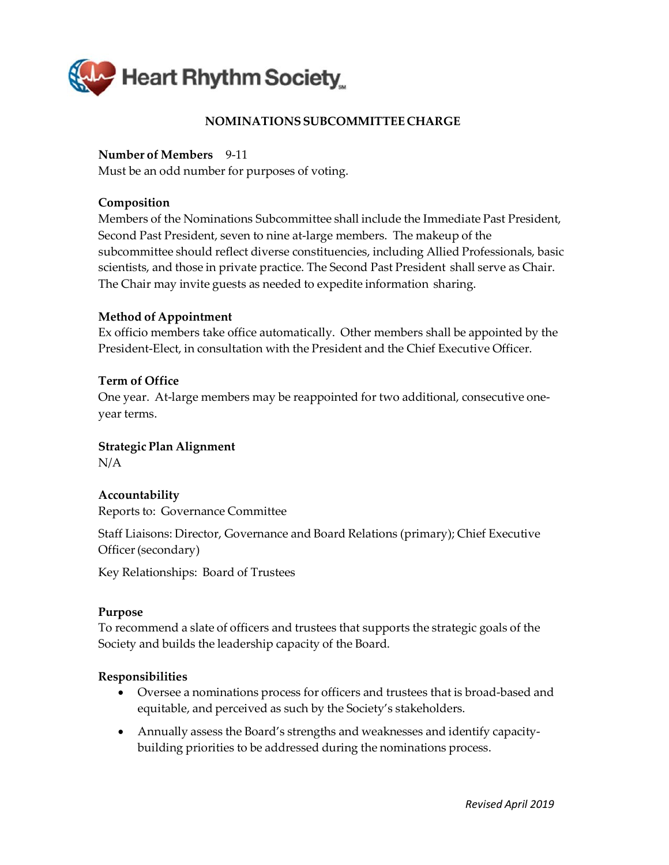<span id="page-39-0"></span>

# **NOMINATIONSSUBCOMMITTEE CHARGE**

### **Number of Members** 9‐11

Must be an odd number for purposes of voting.

### **Composition**

Members of the Nominations Subcommittee shall include the Immediate Past President, Second Past President, seven to nine at-large members. The makeup of the subcommittee should reflect diverse constituencies, including Allied Professionals, basic scientists, and those in private practice. The Second Past President shall serve as Chair. The Chair may invite guests as needed to expedite information sharing.

### **Method of Appointment**

Ex officio members take office automatically. Other members shall be appointed by the President‐Elect, in consultation with the President and the Chief Executive Officer.

### **Term of Office**

One year. At-large members may be reappointed for two additional, consecutive oneyear terms.

### **Strategic Plan Alignment**

N/A

### **Accountability**

Reports to: Governance Committee

Staff Liaisons: Director, Governance and Board Relations (primary); Chief Executive Officer(secondary)

Key Relationships: Board of Trustees

### **Purpose**

To recommend a slate of officers and trustees that supports the strategic goals of the Society and builds the leadership capacity of the Board.

- Oversee a nominations process for officers and trustees that is broad-based and equitable, and perceived as such by the Society's stakeholders.
- Annually assess the Board's strengths and weaknesses and identify capacitybuilding priorities to be addressed during the nominations process.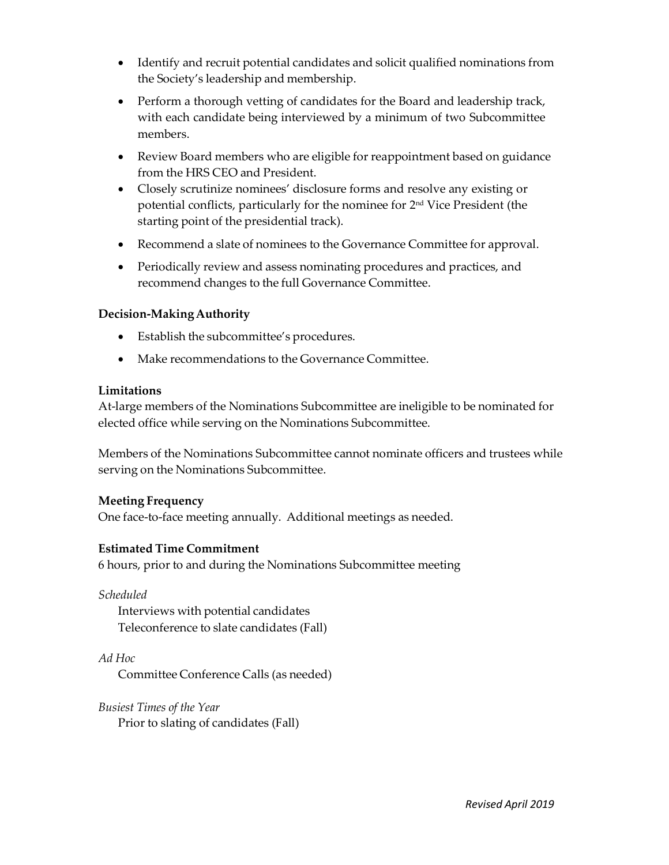- Identify and recruit potential candidates and solicit qualified nominations from the Society's leadership and membership.
- Perform a thorough vetting of candidates for the Board and leadership track, with each candidate being interviewed by a minimum of two Subcommittee members.
- Review Board members who are eligible for reappointment based on guidance from the HRS CEO and President.
- Closely scrutinize nominees' disclosure forms and resolve any existing or potential conflicts, particularly for the nominee for 2nd Vice President (the starting point of the presidential track).
- Recommend a slate of nominees to the Governance Committee for approval.
- Periodically review and assess nominating procedures and practices, and recommend changes to the full Governance Committee.

- Establish the subcommittee's procedures.
- Make recommendations to the Governance Committee.

# **Limitations**

At-large members of the Nominations Subcommittee are ineligible to be nominated for elected office while serving on the Nominations Subcommittee.

Members of the Nominations Subcommittee cannot nominate officers and trustees while serving on the Nominations Subcommittee.

# **Meeting Frequency**

One face-to-face meeting annually. Additional meetings as needed.

# **Estimated Time Commitment**

6 hours, prior to and during the Nominations Subcommittee meeting

*Scheduled* Interviews with potential candidates Teleconference to slate candidates (Fall)

*Ad Hoc* Committee Conference Calls (as needed)

*Busiest Times of the Year* Prior to slating of candidates (Fall)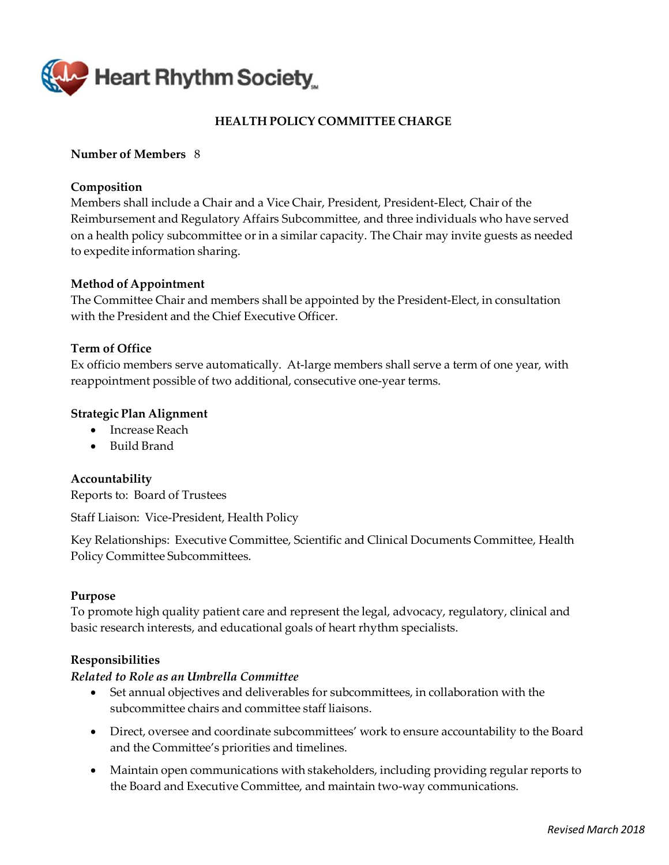<span id="page-41-0"></span>

# **HEALTH POLICY COMMITTEE CHARGE**

### **Number of Members** 8

### **Composition**

Members shall include a Chair and a Vice Chair, President, President‐Elect, Chair of the Reimbursement and Regulatory Affairs Subcommittee, and three individuals who have served on a health policy subcommittee or in a similar capacity. The Chair may invite guests as needed to expedite information sharing.

### **Method of Appointment**

The Committee Chair and members shall be appointed by the President‐Elect, in consultation with the President and the Chief Executive Officer.

### **Term of Office**

Ex officio members serve automatically. At-large members shall serve a term of one year, with reappointment possible of two additional, consecutive one‐year terms.

### **Strategic Plan Alignment**

- Increase Reach
- Build Brand

# **Accountability**

Reports to: Board of Trustees

Staff Liaison: Vice‐President, Health Policy

Key Relationships: Executive Committee, Scientific and Clinical Documents Committee, Health Policy Committee Subcommittees.

### **Purpose**

To promote high quality patient care and represent the legal, advocacy, regulatory, clinical and basic research interests, and educational goals of heart rhythm specialists.

### **Responsibilities**

### *Related to Role as an Umbrella Committee*

- Set annual objectives and deliverables for subcommittees, in collaboration with the subcommittee chairs and committee staff liaisons.
- Direct, oversee and coordinate subcommittees' work to ensure accountability to the Board and the Committee's priorities and timelines.
- Maintain open communications with stakeholders, including providing regular reports to the Board and Executive Committee, and maintain two‐way communications.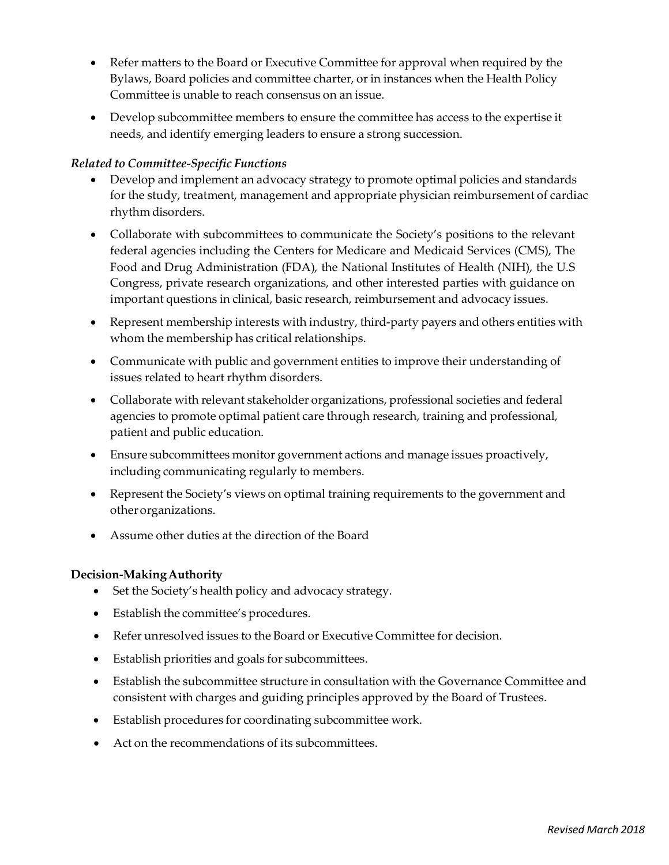- Refer matters to the Board or Executive Committee for approval when required by the Bylaws, Board policies and committee charter, or in instances when the Health Policy Committee is unable to reach consensus on an issue.
- Develop subcommittee members to ensure the committee has access to the expertise it needs, and identify emerging leaders to ensure a strong succession.

# *Related to Committee‐Specific Functions*

- Develop and implement an advocacy strategy to promote optimal policies and standards for the study, treatment, management and appropriate physician reimbursement of cardiac rhythm disorders.
- Collaborate with subcommittees to communicate the Society's positions to the relevant federal agencies including the Centers for Medicare and Medicaid Services (CMS), The Food and Drug Administration (FDA), the National Institutes of Health (NIH), the U.S Congress, private research organizations, and other interested parties with guidance on important questions in clinical, basic research, reimbursement and advocacy issues.
- Represent membership interests with industry, third-party payers and others entities with whom the membership has critical relationships.
- Communicate with public and government entities to improve their understanding of issues related to heart rhythm disorders.
- Collaborate with relevant stakeholder organizations, professional societies and federal agencies to promote optimal patient care through research, training and professional, patient and public education.
- Ensure subcommittees monitor government actions and manage issues proactively, including communicating regularly to members.
- Represent the Society's views on optimal training requirements to the government and otherorganizations.
- Assume other duties at the direction of the Board

### **Decision-MakingAuthority**

- Set the Society's health policy and advocacy strategy.
- Establish the committee's procedures.
- Refer unresolved issues to the Board or Executive Committee for decision.
- Establish priorities and goals for subcommittees.
- Establish the subcommittee structure in consultation with the Governance Committee and consistent with charges and guiding principles approved by the Board of Trustees.
- Establish procedures for coordinating subcommittee work.
- Act on the recommendations of its subcommittees.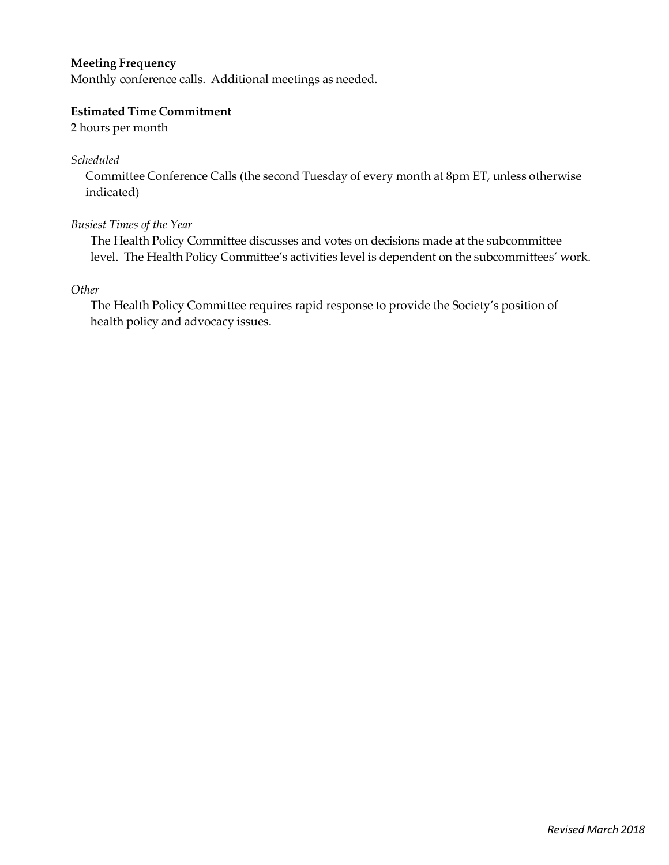# **Meeting Frequency**

Monthly conference calls. Additional meetings as needed.

### **Estimated Time Commitment**

2 hours per month

*Scheduled*

Committee Conference Calls (the second Tuesday of every month at 8pm ET, unless otherwise indicated)

### *Busiest Times of the Year*

The Health Policy Committee discusses and votes on decisions made at the subcommittee level. The Health Policy Committee's activities level is dependent on the subcommittees' work.

*Other*

The Health Policy Committee requires rapid response to provide the Society's position of health policy and advocacy issues.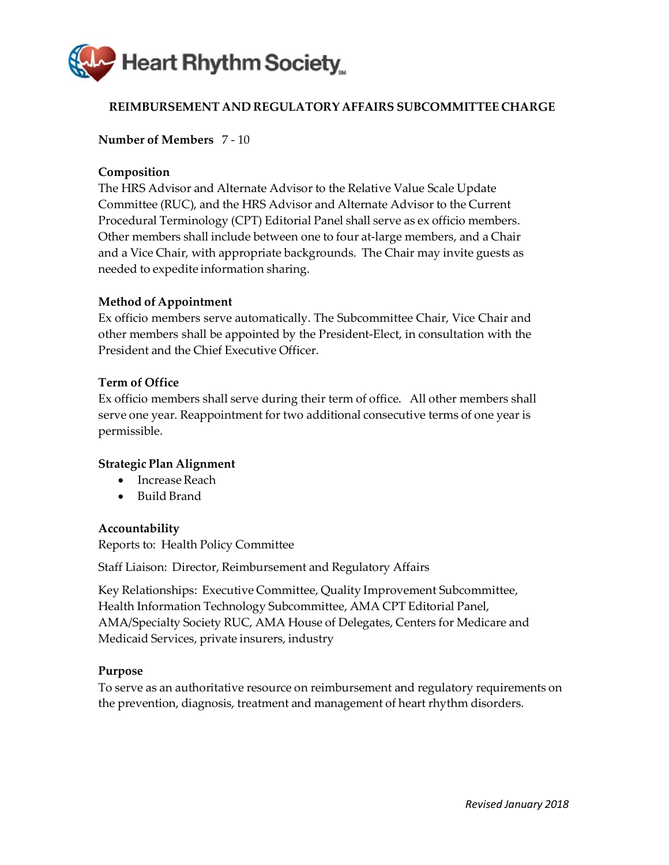<span id="page-44-0"></span>

# **REIMBURSEMENT AND REGULATORY AFFAIRS SUBCOMMITTEE CHARGE**

### **Number of Members** 7 ‐ 10

### **Composition**

The HRS Advisor and Alternate Advisor to the Relative Value Scale Update Committee (RUC), and the HRS Advisor and Alternate Advisor to the Current Procedural Terminology (CPT) Editorial Panel shall serve as ex officio members. Other members shall include between one to four at‐large members, and a Chair and a Vice Chair, with appropriate backgrounds. The Chair may invite guests as needed to expedite information sharing.

### **Method of Appointment**

Ex officio members serve automatically. The Subcommittee Chair, Vice Chair and other members shall be appointed by the President‐Elect, in consultation with the President and the Chief Executive Officer.

### **Term of Office**

Ex officio members shall serve during their term of office. All other members shall serve one year. Reappointment for two additional consecutive terms of one year is permissible.

### **Strategic Plan Alignment**

- Increase Reach
- Build Brand

### **Accountability**

Reports to: Health Policy Committee

Staff Liaison: Director, Reimbursement and Regulatory Affairs

Key Relationships: Executive Committee, Quality Improvement Subcommittee, Health Information Technology Subcommittee, AMA CPT Editorial Panel, AMA/Specialty Society RUC, AMA House of Delegates, Centers for Medicare and Medicaid Services, private insurers, industry

### **Purpose**

To serve as an authoritative resource on reimbursement and regulatory requirements on the prevention, diagnosis, treatment and management of heart rhythm disorders.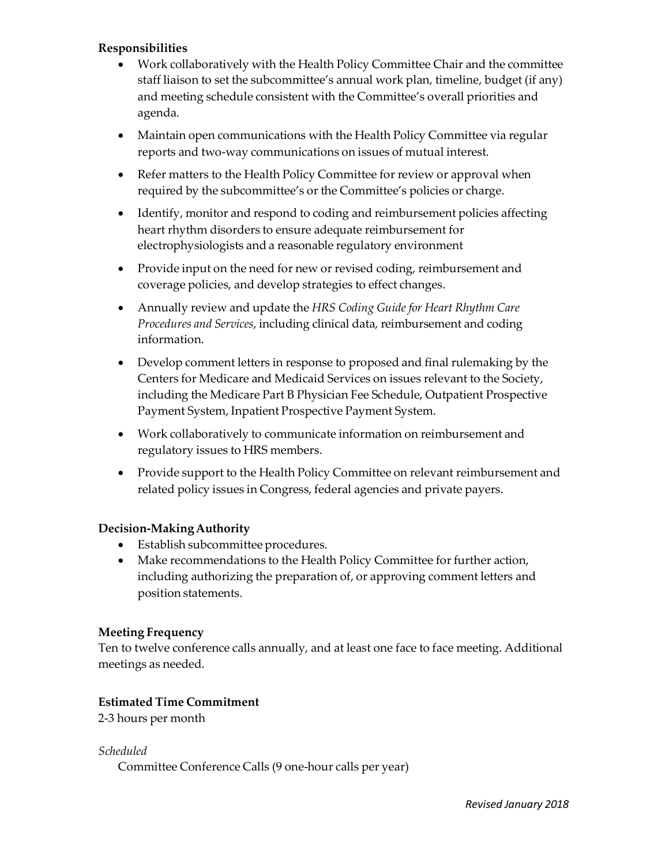# **Responsibilities**

- Work collaboratively with the Health Policy Committee Chair and the committee staff liaison to set the subcommittee's annual work plan, timeline, budget (if any) and meeting schedule consistent with the Committee's overall priorities and agenda.
- Maintain open communications with the Health Policy Committee via regular reports and two‐way communications on issues of mutual interest.
- Refer matters to the Health Policy Committee for review or approval when required by the subcommittee's or the Committee's policies or charge.
- Identify, monitor and respond to coding and reimbursement policies affecting heart rhythm disorders to ensure adequate reimbursement for electrophysiologists and a reasonable regulatory environment
- Provide input on the need for new or revised coding, reimbursement and coverage policies, and develop strategies to effect changes.
- Annually review and update the *HRS Coding Guide for Heart Rhythm Care Procedures and Services*, including clinical data, reimbursement and coding information.
- Develop comment letters in response to proposed and final rulemaking by the Centers for Medicare and Medicaid Services on issues relevant to the Society, including the Medicare Part B Physician Fee Schedule, Outpatient Prospective Payment System, Inpatient Prospective Payment System.
- Work collaboratively to communicate information on reimbursement and regulatory issues to HRS members.
- Provide support to the Health Policy Committee on relevant reimbursement and related policy issues in Congress, federal agencies and private payers.

### **Decision-MakingAuthority**

- Establish subcommittee procedures.
- Make recommendations to the Health Policy Committee for further action, including authorizing the preparation of, or approving comment letters and position statements.

### **Meeting Frequency**

Ten to twelve conference calls annually, and at least one face to face meeting. Additional meetings as needed.

### **Estimated Time Commitment**

2‐3 hours per month

*Scheduled* Committee Conference Calls (9 one‐hour calls per year)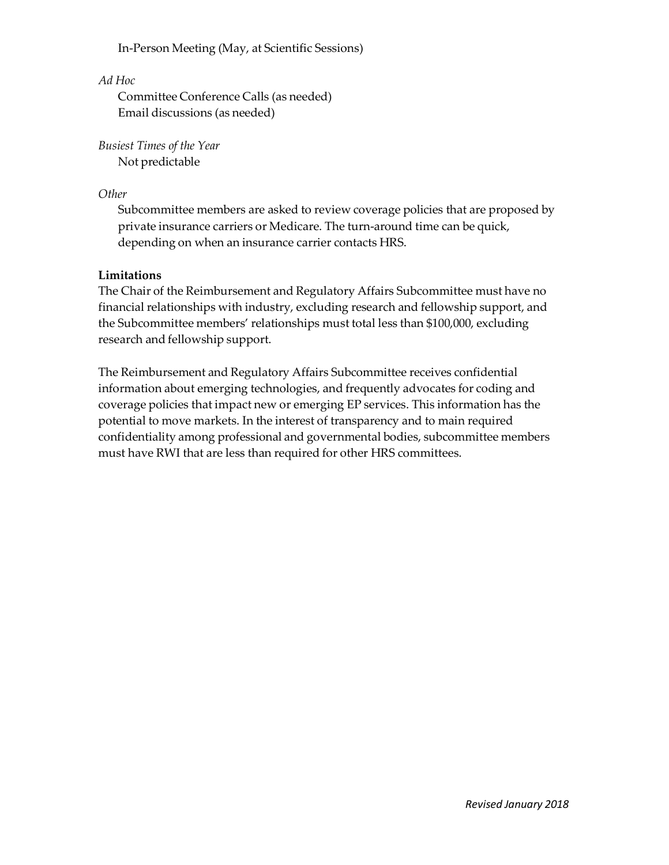In‐Person Meeting (May, at Scientific Sessions)

# *Ad Hoc*

Committee Conference Calls (as needed) Email discussions (as needed)

*Busiest Times of the Year* Not predictable

# *Other*

Subcommittee members are asked to review coverage policies that are proposed by private insurance carriers or Medicare. The turn‐around time can be quick, depending on when an insurance carrier contacts HRS.

# **Limitations**

The Chair of the Reimbursement and Regulatory Affairs Subcommittee must have no financial relationships with industry, excluding research and fellowship support, and the Subcommittee members' relationships must total less than \$100,000, excluding research and fellowship support.

The Reimbursement and Regulatory Affairs Subcommittee receives confidential information about emerging technologies, and frequently advocates for coding and coverage policies that impact new or emerging EP services. This information has the potential to move markets. In the interest of transparency and to main required confidentiality among professional and governmental bodies, subcommittee members must have RWI that are less than required for other HRS committees.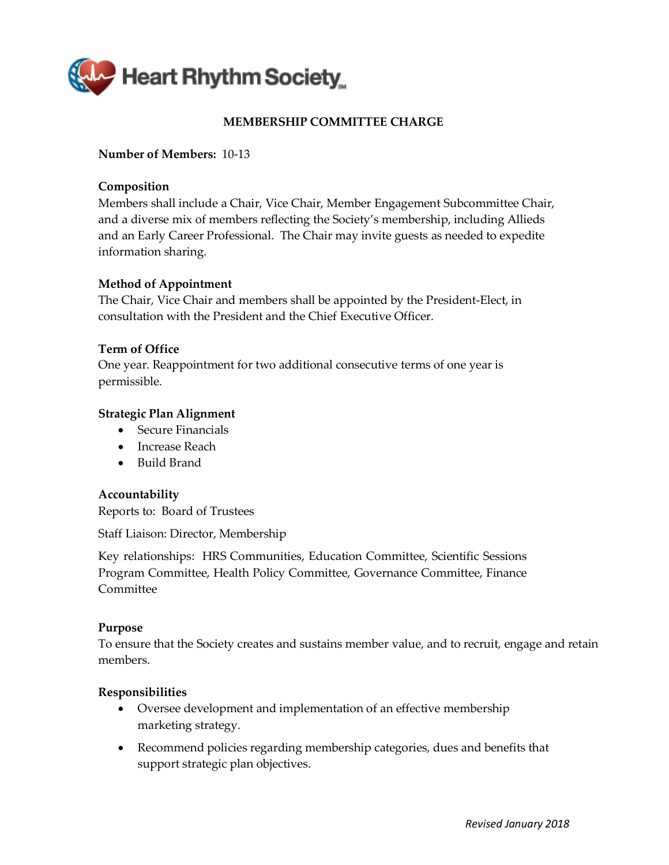<span id="page-47-0"></span>

# **MEMBERSHIP COMMITTEE CHARGE**

### **Number of Members:** 10-13

### **Composition**

Members shall include a Chair, Vice Chair, Member Engagement Subcommittee Chair, and a diverse mix of members reflecting the Society's membership, including Allieds and an Early Career Professional. The Chair may invite guests as needed to expedite information sharing.

### **Method of Appointment**

The Chair, Vice Chair and members shall be appointed by the President-Elect, in consultation with the President and the Chief Executive Officer.

### **Term of Office**

One year. Reappointment for two additional consecutive terms of one year is permissible.

### **Strategic Plan Alignment**

- Secure Financials
- Increase Reach
- Build Brand

### **Accountability**

Reports to: Board of Trustees

Staff Liaison: Director, Membership

Key relationships: HRS Communities, Education Committee, Scientific Sessions Program Committee, Health Policy Committee, Governance Committee, Finance Committee

### **Purpose**

To ensure that the Society creates and sustains member value, and to recruit, engage and retain members.

- Oversee development and implementation of an effective membership marketing strategy.
- Recommend policies regarding membership categories, dues and benefits that support strategic plan objectives.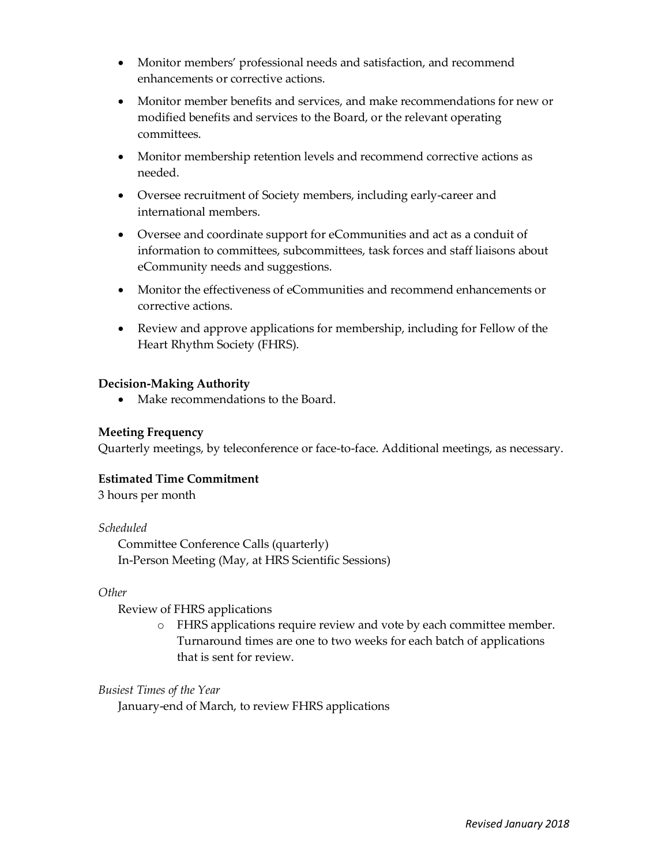- Monitor members' professional needs and satisfaction, and recommend enhancements or corrective actions.
- Monitor member benefits and services, and make recommendations for new or modified benefits and services to the Board, or the relevant operating committees.
- Monitor membership retention levels and recommend corrective actions as needed.
- Oversee recruitment of Society members, including early-career and international members.
- Oversee and coordinate support for eCommunities and act as a conduit of information to committees, subcommittees, task forces and staff liaisons about eCommunity needs and suggestions.
- Monitor the effectiveness of eCommunities and recommend enhancements or corrective actions.
- Review and approve applications for membership, including for Fellow of the Heart Rhythm Society (FHRS).

• Make recommendations to the Board.

# **Meeting Frequency**

Quarterly meetings, by teleconference or face-to-face. Additional meetings, as necessary.

### **Estimated Time Commitment**

3 hours per month

### *Scheduled*

Committee Conference Calls (quarterly) In-Person Meeting (May, at HRS Scientific Sessions)

# *Other*

Review of FHRS applications

o FHRS applications require review and vote by each committee member. Turnaround times are one to two weeks for each batch of applications that is sent for review.

### *Busiest Times of the Year*

January-end of March, to review FHRS applications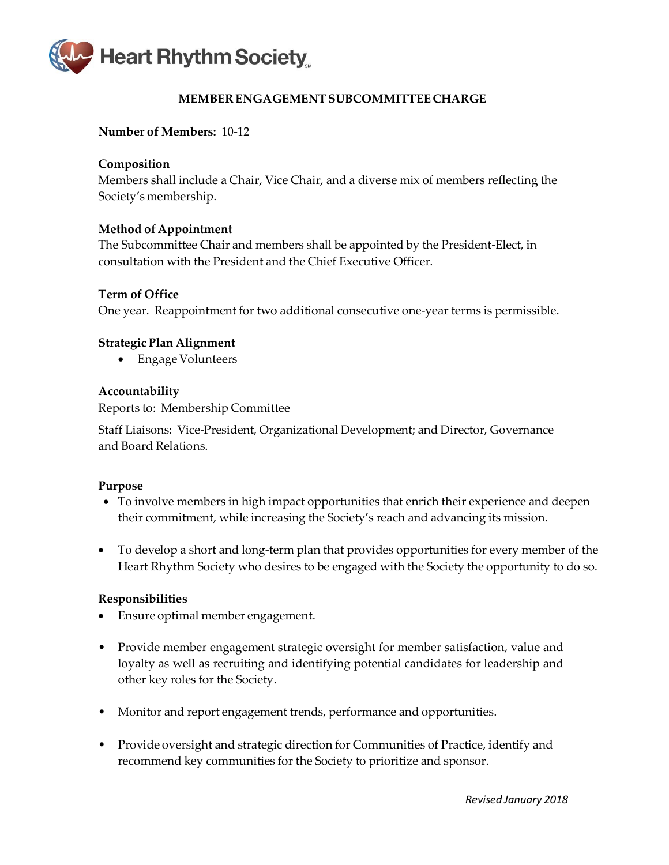<span id="page-49-0"></span>

# **MEMBER ENGAGEMENTSUBCOMMITTEE CHARGE**

### **Number of Members:** 10‐12

### **Composition**

Members shall include a Chair, Vice Chair, and a diverse mix of members reflecting the Society's membership.

### **Method of Appointment**

The Subcommittee Chair and members shall be appointed by the President‐Elect, in consultation with the President and the Chief Executive Officer.

### **Term of Office**

One year. Reappointment for two additional consecutive one‐year terms is permissible.

### **Strategic Plan Alignment**

• Engage Volunteers

### **Accountability**

Reports to: Membership Committee

Staff Liaisons: Vice‐President, Organizational Development; and Director, Governance and Board Relations.

### **Purpose**

- To involve members in high impact opportunities that enrich their experience and deepen their commitment, while increasing the Society's reach and advancing its mission.
- To develop a short and long-term plan that provides opportunities for every member of the Heart Rhythm Society who desires to be engaged with the Society the opportunity to do so.

- Ensure optimal member engagement.
- Provide member engagement strategic oversight for member satisfaction, value and loyalty as well as recruiting and identifying potential candidates for leadership and other key roles for the Society.
- Monitor and report engagement trends, performance and opportunities.
- Provide oversight and strategic direction for Communities of Practice, identify and recommend key communities for the Society to prioritize and sponsor.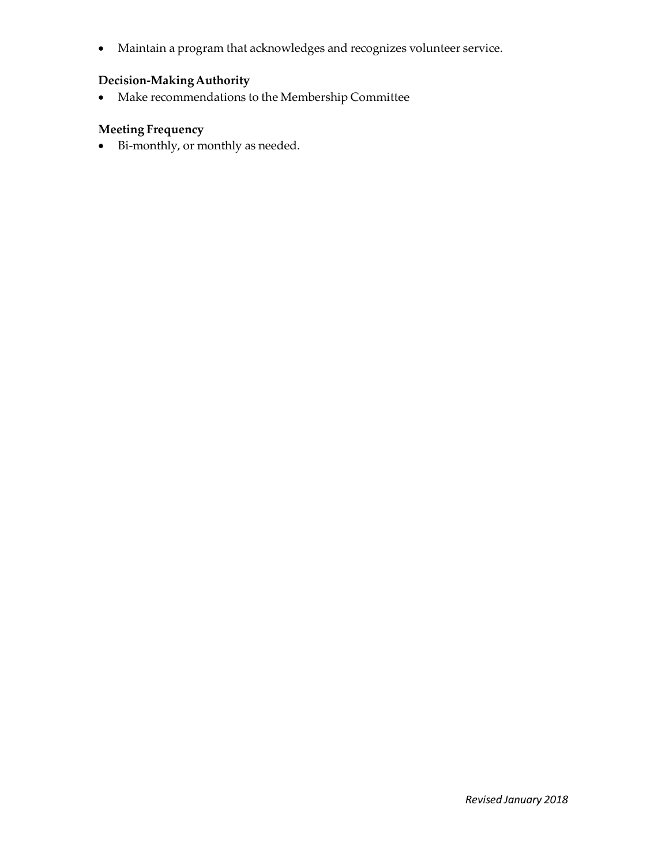• Maintain a program that acknowledges and recognizes volunteer service.

# **Decision-MakingAuthority**

• Make recommendations to the Membership Committee

# **Meeting Frequency**

• Bi-monthly, or monthly as needed.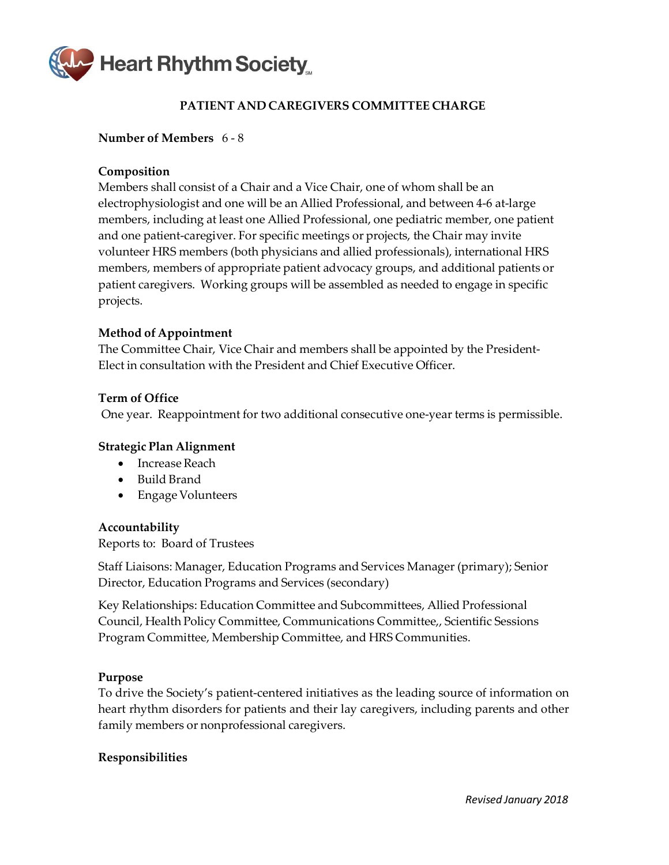<span id="page-51-0"></span>

# **PATIENT AND CAREGIVERS COMMITTEE CHARGE**

### **Number of Members** 6 ‐ 8

### **Composition**

Members shall consist of a Chair and a Vice Chair, one of whom shall be an electrophysiologist and one will be an Allied Professional, and between 4‐6 at‐large members, including at least one Allied Professional, one pediatric member, one patient and one patient‐caregiver. For specific meetings or projects, the Chair may invite volunteer HRS members (both physicians and allied professionals), international HRS members, members of appropriate patient advocacy groups, and additional patients or patient caregivers. Working groups will be assembled as needed to engage in specific projects.

### **Method of Appointment**

The Committee Chair, Vice Chair and members shall be appointed by the President‐ Elect in consultation with the President and Chief Executive Officer.

### **Term of Office**

One year. Reappointment for two additional consecutive one‐year terms is permissible.

### **Strategic Plan Alignment**

- Increase Reach
- Build Brand
- Engage Volunteers

### **Accountability**

Reports to: Board of Trustees

Staff Liaisons: Manager, Education Programs and Services Manager (primary); Senior Director, Education Programs and Services (secondary)

Key Relationships: Education Committee and Subcommittees, Allied Professional Council, Health Policy Committee, Communications Committee,, Scientific Sessions Program Committee, Membership Committee, and HRS Communities.

### **Purpose**

To drive the Society's patient‐centered initiatives as the leading source of information on heart rhythm disorders for patients and their lay caregivers, including parents and other family members or nonprofessional caregivers.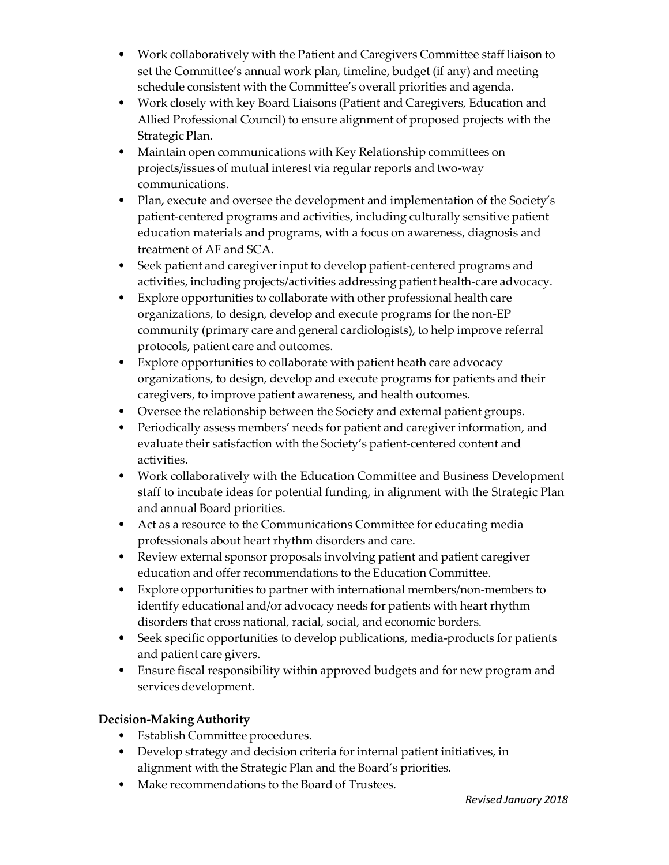- Work collaboratively with the Patient and Caregivers Committee staff liaison to set the Committee's annual work plan, timeline, budget (if any) and meeting schedule consistent with the Committee's overall priorities and agenda.
- Work closely with key Board Liaisons (Patient and Caregivers, Education and Allied Professional Council) to ensure alignment of proposed projects with the Strategic Plan.
- Maintain open communications with Key Relationship committees on projects/issues of mutual interest via regular reports and two‐way communications.
- Plan, execute and oversee the development and implementation of the Society's patient‐centered programs and activities, including culturally sensitive patient education materials and programs, with a focus on awareness, diagnosis and treatment of AF and SCA.
- Seek patient and caregiver input to develop patient-centered programs and activities, including projects/activities addressing patient health‐care advocacy.
- Explore opportunities to collaborate with other professional health care organizations, to design, develop and execute programs for the non‐EP community (primary care and general cardiologists), to help improve referral protocols, patient care and outcomes.
- Explore opportunities to collaborate with patient heath care advocacy organizations, to design, develop and execute programs for patients and their caregivers, to improve patient awareness, and health outcomes.
- Oversee the relationship between the Society and external patient groups.
- Periodically assess members' needs for patient and caregiver information, and evaluate their satisfaction with the Society's patient‐centered content and activities.
- Work collaboratively with the Education Committee and Business Development staff to incubate ideas for potential funding, in alignment with the Strategic Plan and annual Board priorities.
- Act as a resource to the Communications Committee for educating media professionals about heart rhythm disorders and care.
- Review external sponsor proposals involving patient and patient caregiver education and offer recommendations to the Education Committee.
- Explore opportunities to partner with international members/non-members to identify educational and/or advocacy needs for patients with heart rhythm disorders that cross national, racial, social, and economic borders.
- Seek specific opportunities to develop publications, media-products for patients and patient care givers.
- Ensure fiscal responsibility within approved budgets and for new program and services development.

- Establish Committee procedures.
- Develop strategy and decision criteria for internal patient initiatives, in alignment with the Strategic Plan and the Board's priorities.
- Make recommendations to the Board of Trustees.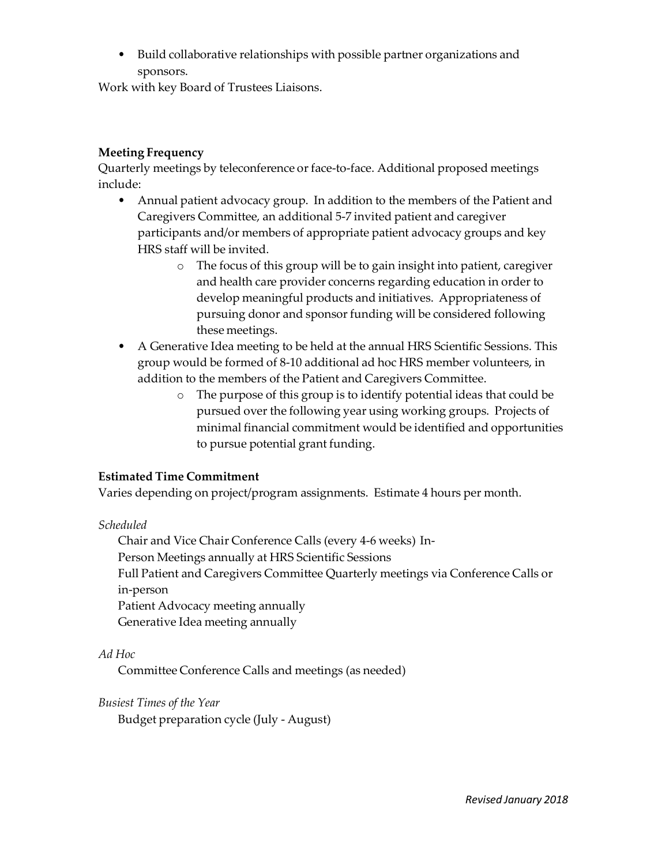• Build collaborative relationships with possible partner organizations and sponsors.

Work with key Board of Trustees Liaisons.

# **Meeting Frequency**

Quarterly meetings by teleconference or face-to-face. Additional proposed meetings include:

- Annual patient advocacy group. In addition to the members of the Patient and Caregivers Committee, an additional 5‐7 invited patient and caregiver participants and/or members of appropriate patient advocacy groups and key HRS staff will be invited.
	- o The focus of this group will be to gain insight into patient, caregiver and health care provider concerns regarding education in order to develop meaningful products and initiatives. Appropriateness of pursuing donor and sponsor funding will be considered following these meetings.
- A Generative Idea meeting to be held at the annual HRS Scientific Sessions. This group would be formed of 8‐10 additional ad hoc HRS member volunteers, in addition to the members of the Patient and Caregivers Committee.
	- o The purpose of this group is to identify potential ideas that could be pursued over the following year using working groups. Projects of minimal financial commitment would be identified and opportunities to pursue potential grant funding.

# **Estimated Time Commitment**

Varies depending on project/program assignments. Estimate 4 hours per month.

# *Scheduled*

Chair and Vice Chair Conference Calls (every 4‐6 weeks) In‐ Person Meetings annually at HRS Scientific Sessions Full Patient and Caregivers Committee Quarterly meetings via Conference Calls or in‐person Patient Advocacy meeting annually Generative Idea meeting annually

# *Ad Hoc*

Committee Conference Calls and meetings (as needed)

### *Busiest Times of the Year*

Budget preparation cycle (July ‐ August)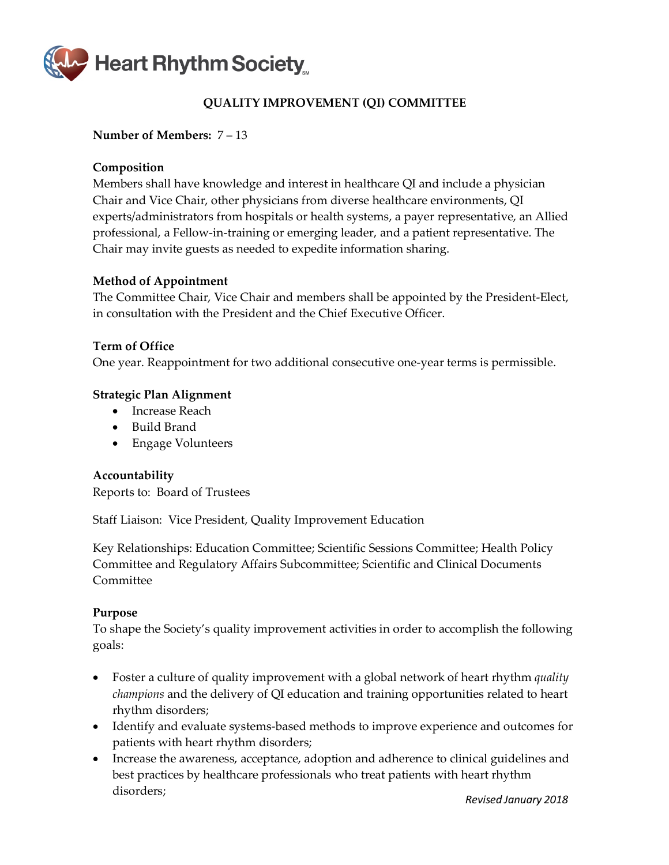

# **QUALITY IMPROVEMENT (QI) COMMITTEE**

### **Number of Members:** 7 – 13

### **Composition**

Members shall have knowledge and interest in healthcare QI and include a physician Chair and Vice Chair, other physicians from diverse healthcare environments, QI experts/administrators from hospitals or health systems, a payer representative, an Allied professional, a Fellow-in-training or emerging leader, and a patient representative. The Chair may invite guests as needed to expedite information sharing.

### **Method of Appointment**

The Committee Chair, Vice Chair and members shall be appointed by the President-Elect, in consultation with the President and the Chief Executive Officer.

### **Term of Office**

One year. Reappointment for two additional consecutive one-year terms is permissible.

### **Strategic Plan Alignment**

- Increase Reach
- Build Brand
- Engage Volunteers

### **Accountability**

Reports to: Board of Trustees

Staff Liaison: Vice President, Quality Improvement Education

Key Relationships: Education Committee; Scientific Sessions Committee; Health Policy Committee and Regulatory Affairs Subcommittee; Scientific and Clinical Documents Committee

### **Purpose**

To shape the Society's quality improvement activities in order to accomplish the following goals:

- Foster a culture of quality improvement with a global network of heart rhythm *quality champions* and the delivery of QI education and training opportunities related to heart rhythm disorders;
- Identify and evaluate systems-based methods to improve experience and outcomes for patients with heart rhythm disorders;
- Increase the awareness, acceptance, adoption and adherence to clinical guidelines and best practices by healthcare professionals who treat patients with heart rhythm disorders;

*Revised January 2018*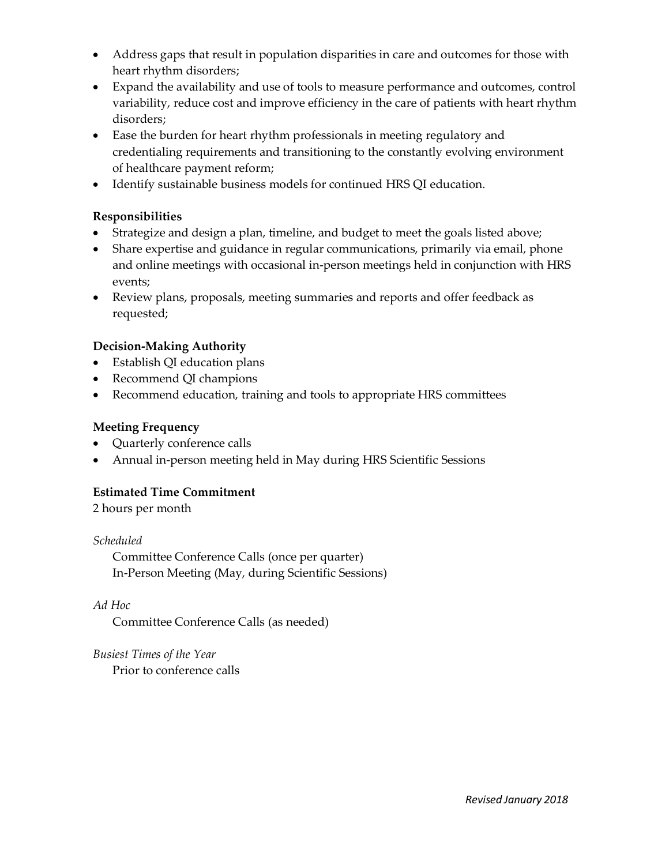- Address gaps that result in population disparities in care and outcomes for those with heart rhythm disorders;
- Expand the availability and use of tools to measure performance and outcomes, control variability, reduce cost and improve efficiency in the care of patients with heart rhythm disorders;
- Ease the burden for heart rhythm professionals in meeting regulatory and credentialing requirements and transitioning to the constantly evolving environment of healthcare payment reform;
- Identify sustainable business models for continued HRS QI education.

# **Responsibilities**

- Strategize and design a plan, timeline, and budget to meet the goals listed above;
- Share expertise and guidance in regular communications, primarily via email, phone and online meetings with occasional in-person meetings held in conjunction with HRS events;
- Review plans, proposals, meeting summaries and reports and offer feedback as requested;

# **Decision-Making Authority**

- Establish QI education plans
- Recommend QI champions
- Recommend education, training and tools to appropriate HRS committees

# **Meeting Frequency**

- Quarterly conference calls
- Annual in-person meeting held in May during HRS Scientific Sessions

# **Estimated Time Commitment**

2 hours per month

# *Scheduled*

Committee Conference Calls (once per quarter) In-Person Meeting (May, during Scientific Sessions)

# *Ad Hoc*

Committee Conference Calls (as needed)

*Busiest Times of the Year* Prior to conference calls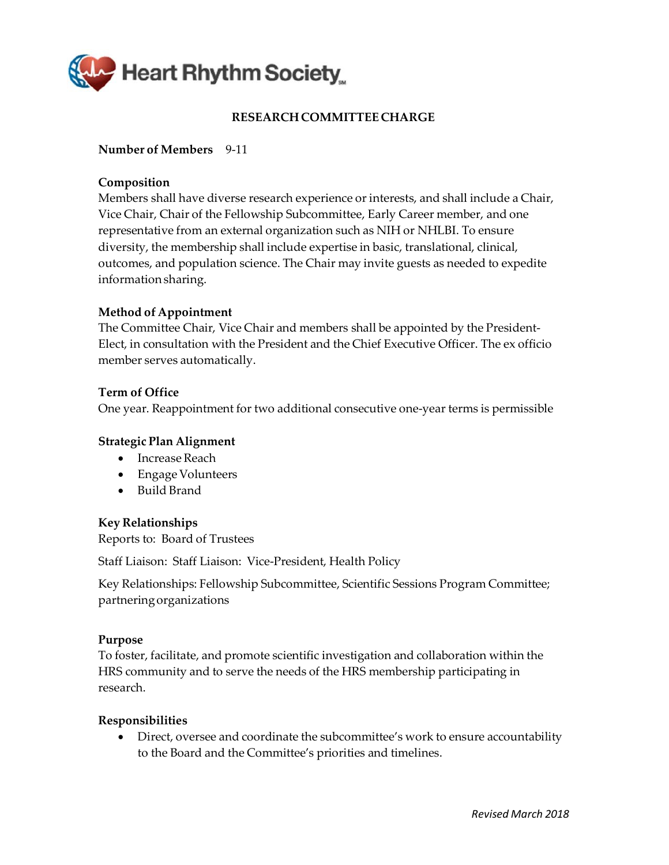<span id="page-56-0"></span>

# **RESEARCH COMMITTEE CHARGE**

# **Number of Members** 9‐11

### **Composition**

Members shall have diverse research experience or interests, and shall include a Chair, Vice Chair, Chair of the Fellowship Subcommittee, Early Career member, and one representative from an external organization such as NIH or NHLBI. To ensure diversity, the membership shall include expertise in basic, translational, clinical, outcomes, and population science. The Chair may invite guests as needed to expedite informationsharing.

### **Method of Appointment**

The Committee Chair, Vice Chair and members shall be appointed by the President‐ Elect, in consultation with the President and the Chief Executive Officer. The ex officio member serves automatically.

### **Term of Office**

One year. Reappointment for two additional consecutive one‐year terms is permissible

### **Strategic Plan Alignment**

- Increase Reach
- Engage Volunteers
- Build Brand

### **Key Relationships**

Reports to: Board of Trustees

Staff Liaison: Staff Liaison: Vice‐President, Health Policy

Key Relationships: Fellowship Subcommittee, Scientific Sessions Program Committee; partneringorganizations

### **Purpose**

To foster, facilitate, and promote scientific investigation and collaboration within the HRS community and to serve the needs of the HRS membership participating in research.

### **Responsibilities**

• Direct, oversee and coordinate the subcommittee's work to ensure accountability to the Board and the Committee's priorities and timelines.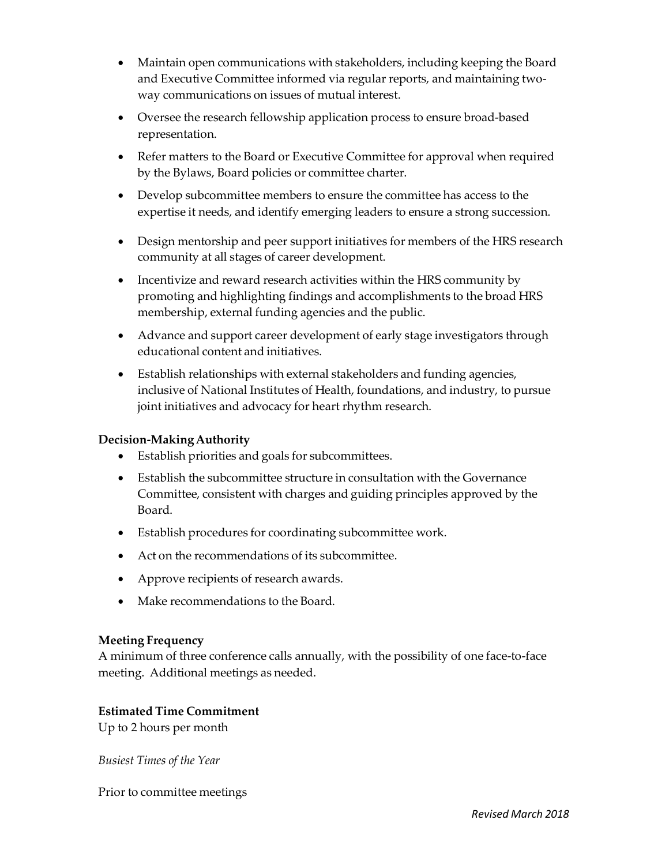- Maintain open communications with stakeholders, including keeping the Board and Executive Committee informed via regular reports, and maintaining twoway communications on issues of mutual interest.
- Oversee the research fellowship application process to ensure broad-based representation.
- Refer matters to the Board or Executive Committee for approval when required by the Bylaws, Board policies or committee charter.
- Develop subcommittee members to ensure the committee has access to the expertise it needs, and identify emerging leaders to ensure a strong succession.
- Design mentorship and peer support initiatives for members of the HRS research community at all stages of career development.
- Incentivize and reward research activities within the HRS community by promoting and highlighting findings and accomplishments to the broad HRS membership, external funding agencies and the public.
- Advance and support career development of early stage investigators through educational content and initiatives.
- Establish relationships with external stakeholders and funding agencies, inclusive of National Institutes of Health, foundations, and industry, to pursue joint initiatives and advocacy for heart rhythm research.

- Establish priorities and goals for subcommittees.
- Establish the subcommittee structure in consultation with the Governance Committee, consistent with charges and guiding principles approved by the Board.
- Establish procedures for coordinating subcommittee work.
- Act on the recommendations of its subcommittee.
- Approve recipients of research awards.
- Make recommendations to the Board.

# **Meeting Frequency**

A minimum of three conference calls annually, with the possibility of one face‐to‐face meeting. Additional meetings as needed.

# **Estimated Time Commitment**

Up to 2 hours per month

*Busiest Times of the Year*

Prior to committee meetings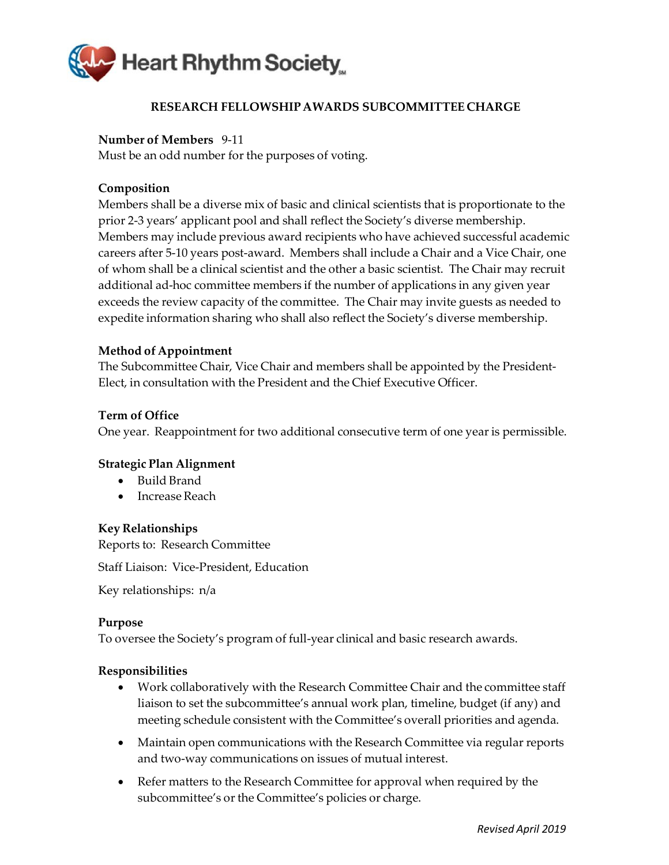<span id="page-58-0"></span>

# **RESEARCH FELLOWSHIPAWARDS SUBCOMMITTEE CHARGE**

### **Number of Members** 9‐11

Must be an odd number for the purposes of voting.

### **Composition**

Members shall be a diverse mix of basic and clinical scientists that is proportionate to the prior 2‐3 years' applicant pool and shall reflect the Society's diverse membership. Members may include previous award recipients who have achieved successful academic careers after 5‐10 years post‐award. Members shall include a Chair and a Vice Chair, one of whom shall be a clinical scientist and the other a basic scientist. The Chair may recruit additional ad‐hoc committee members if the number of applications in any given year exceeds the review capacity of the committee. The Chair may invite guests as needed to expedite information sharing who shall also reflect the Society's diverse membership.

### **Method of Appointment**

The Subcommittee Chair, Vice Chair and members shall be appointed by the President‐ Elect, in consultation with the President and the Chief Executive Officer.

### **Term of Office**

One year. Reappointment for two additional consecutive term of one year is permissible.

### **Strategic Plan Alignment**

- Build Brand
- Increase Reach

### **Key Relationships**

Reports to: Research Committee

Staff Liaison: Vice‐President, Education

Key relationships: n/a

### **Purpose**

To oversee the Society's program of full‐year clinical and basic research awards.

- Work collaboratively with the Research Committee Chair and the committee staff liaison to set the subcommittee's annual work plan, timeline, budget (if any) and meeting schedule consistent with the Committee's overall priorities and agenda.
- Maintain open communications with the Research Committee via regular reports and two‐way communications on issues of mutual interest.
- Refer matters to the Research Committee for approval when required by the subcommittee's or the Committee's policies or charge.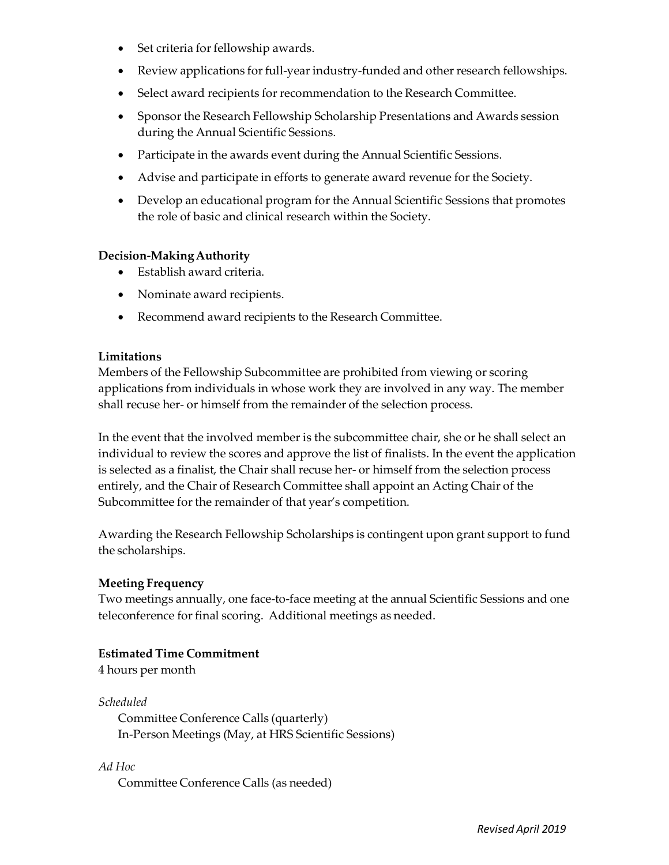- Set criteria for fellowship awards.
- Review applications for full-year industry-funded and other research fellowships.
- Select award recipients for recommendation to the Research Committee.
- Sponsor the Research Fellowship Scholarship Presentations and Awards session during the Annual Scientific Sessions.
- Participate in the awards event during the Annual Scientific Sessions.
- Advise and participate in efforts to generate award revenue for the Society.
- Develop an educational program for the Annual Scientific Sessions that promotes the role of basic and clinical research within the Society.

- Establish award criteria.
- Nominate award recipients.
- Recommend award recipients to the Research Committee.

### **Limitations**

Members of the Fellowship Subcommittee are prohibited from viewing or scoring applications from individuals in whose work they are involved in any way. The member shall recuse her‐ or himself from the remainder of the selection process.

In the event that the involved member is the subcommittee chair, she or he shall select an individual to review the scores and approve the list of finalists. In the event the application is selected as a finalist, the Chair shall recuse her‐ or himself from the selection process entirely, and the Chair of Research Committee shall appoint an Acting Chair of the Subcommittee for the remainder of that year's competition.

Awarding the Research Fellowship Scholarships is contingent upon grant support to fund the scholarships.

### **Meeting Frequency**

Two meetings annually, one face‐to‐face meeting at the annual Scientific Sessions and one teleconference for final scoring. Additional meetings as needed.

### **Estimated Time Commitment**

4 hours per month

*Scheduled* Committee Conference Calls (quarterly) In‐Person Meetings (May, at HRS Scientific Sessions)

*Ad Hoc* Committee Conference Calls (as needed)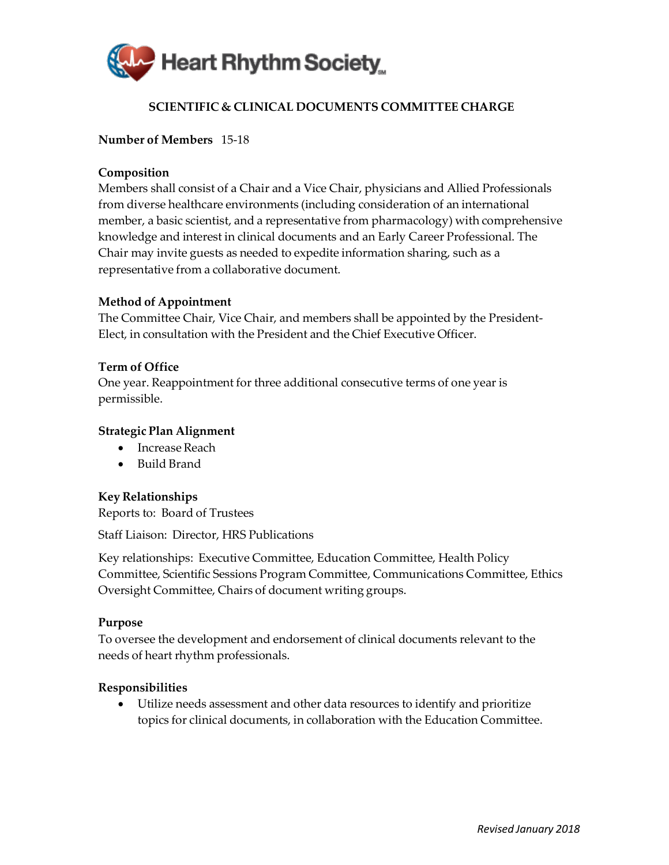

# **SCIENTIFIC & CLINICAL DOCUMENTS COMMITTEE CHARGE**

### <span id="page-60-0"></span>**Number of Members** 15-18

### **Composition**

Members shall consist of a Chair and a Vice Chair, physicians and Allied Professionals from diverse healthcare environments (including consideration of an international member, a basic scientist, and a representative from pharmacology) with comprehensive knowledge and interest in clinical documents and an Early Career Professional. The Chair may invite guests as needed to expedite information sharing, such as a representative from a collaborative document.

### **Method of Appointment**

The Committee Chair, Vice Chair, and members shall be appointed by the President-Elect, in consultation with the President and the Chief Executive Officer.

### **Term of Office**

One year. Reappointment for three additional consecutive terms of one year is permissible.

### **Strategic Plan Alignment**

- Increase Reach
- Build Brand

### **Key Relationships**

Reports to: Board of Trustees

Staff Liaison: Director, HRS Publications

Key relationships: Executive Committee, Education Committee, Health Policy Committee, Scientific Sessions Program Committee, Communications Committee, Ethics Oversight Committee, Chairs of document writing groups.

### **Purpose**

To oversee the development and endorsement of clinical documents relevant to the needs of heart rhythm professionals.

### **Responsibilities**

• Utilize needs assessment and other data resources to identify and prioritize topics for clinical documents, in collaboration with the Education Committee.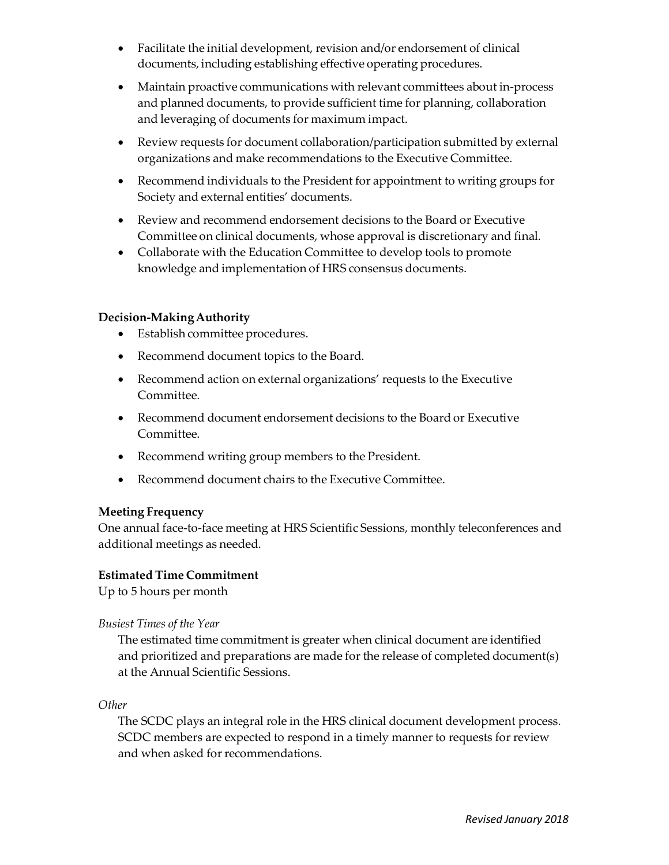- Facilitate the initial development, revision and/or endorsement of clinical documents, including establishing effective operating procedures.
- Maintain proactive communications with relevant committees about in-process and planned documents, to provide sufficient time for planning, collaboration and leveraging of documents for maximum impact.
- Review requests for document collaboration/participation submitted by external organizations and make recommendations to the Executive Committee.
- Recommend individuals to the President for appointment to writing groups for Society and external entities' documents.
- Review and recommend endorsement decisions to the Board or Executive Committee on clinical documents, whose approval is discretionary and final.
- Collaborate with the Education Committee to develop tools to promote knowledge and implementation of HRS consensus documents.

- Establish committee procedures.
- Recommend document topics to the Board.
- Recommend action on external organizations' requests to the Executive Committee.
- Recommend document endorsement decisions to the Board or Executive Committee.
- Recommend writing group members to the President.
- Recommend document chairs to the Executive Committee.

# **Meeting Frequency**

One annual face-to-face meeting at HRS Scientific Sessions, monthly teleconferences and additional meetings as needed.

### **Estimated Time Commitment**

Up to 5 hours per month

# *Busiest Times of the Year*

The estimated time commitment is greater when clinical document are identified and prioritized and preparations are made for the release of completed document(s) at the Annual Scientific Sessions.

*Other*

The SCDC plays an integral role in the HRS clinical document development process. SCDC members are expected to respond in a timely manner to requests for review and when asked for recommendations.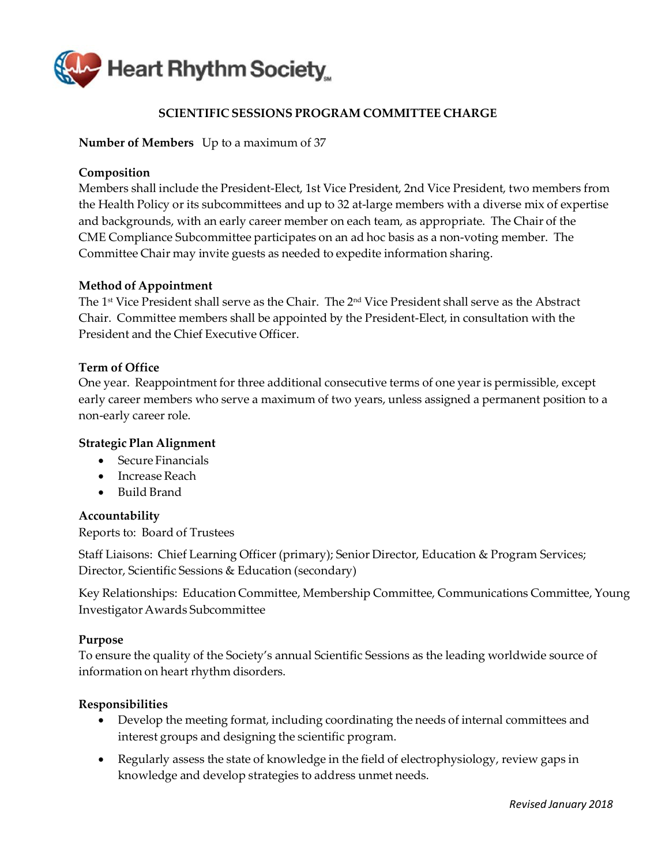

# **SCIENTIFIC SESSIONS PROGRAM COMMITTEE CHARGE**

### <span id="page-62-0"></span>**Number of Members** Up to a maximum of 37

### **Composition**

Members shall include the President‐Elect, 1st Vice President, 2nd Vice President, two members from the Health Policy or its subcommittees and up to 32 at‐large members with a diverse mix of expertise and backgrounds, with an early career member on each team, as appropriate. The Chair of the CME Compliance Subcommittee participates on an ad hoc basis as a non‐voting member. The Committee Chair may invite guests as needed to expedite information sharing.

### **Method of Appointment**

The 1st Vice President shall serve as the Chair. The 2nd Vice President shall serve as the Abstract Chair. Committee members shall be appointed by the President‐Elect, in consultation with the President and the Chief Executive Officer.

### **Term of Office**

One year. Reappointment for three additional consecutive terms of one yearis permissible, except early career members who serve a maximum of two years, unless assigned a permanent position to a non‐early career role.

### **Strategic Plan Alignment**

- Secure Financials
- Increase Reach
- Build Brand

### **Accountability**

Reports to: Board of Trustees

Staff Liaisons: Chief Learning Officer (primary); Senior Director, Education & Program Services; Director, Scientific Sessions & Education (secondary)

Key Relationships: Education Committee, Membership Committee, Communications Committee, Young InvestigatorAwards Subcommittee

### **Purpose**

To ensure the quality of the Society's annual Scientific Sessions as the leading worldwide source of information on heart rhythm disorders.

- Develop the meeting format, including coordinating the needs of internal committees and interest groups and designing the scientific program.
- Regularly assess the state of knowledge in the field of electrophysiology, review gaps in knowledge and develop strategies to address unmet needs.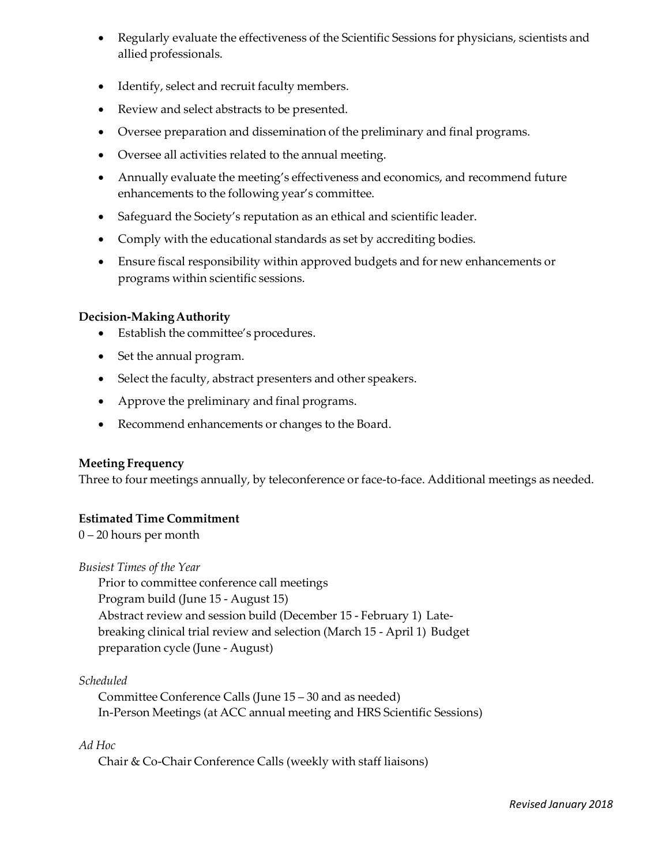- Regularly evaluate the effectiveness of the Scientific Sessions for physicians, scientists and allied professionals.
- Identify, select and recruit faculty members.
- Review and select abstracts to be presented.
- Oversee preparation and dissemination of the preliminary and final programs.
- Oversee all activities related to the annual meeting.
- Annually evaluate the meeting's effectiveness and economics, and recommend future enhancements to the following year's committee.
- Safeguard the Society's reputation as an ethical and scientific leader.
- Comply with the educational standards as set by accrediting bodies.
- Ensure fiscal responsibility within approved budgets and for new enhancements or programs within scientific sessions.

- Establish the committee's procedures.
- Set the annual program.
- Select the faculty, abstract presenters and other speakers.
- Approve the preliminary and final programs.
- Recommend enhancements or changes to the Board.

### **Meeting Frequency**

Three to four meetings annually, by teleconference or face-to-face. Additional meetings as needed.

### **Estimated Time Commitment**

0 – 20 hours per month

*Busiest Times of the Year*

Prior to committee conference call meetings Program build (June 15 ‐ August 15) Abstract review and session build (December 15 ‐ February 1) Late‐ breaking clinical trial review and selection (March 15 ‐ April 1) Budget preparation cycle (June ‐ August)

### *Scheduled*

Committee Conference Calls (June 15 – 30 and as needed) In‐Person Meetings (at ACC annual meeting and HRS Scientific Sessions)

### *Ad Hoc*

Chair & Co-Chair Conference Calls (weekly with staff liaisons)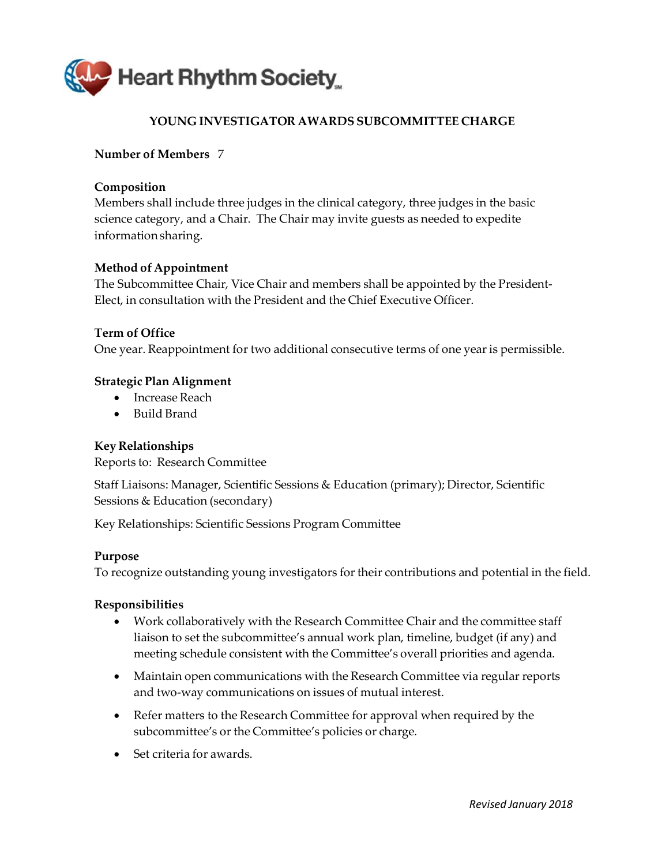<span id="page-64-0"></span>

# **YOUNG INVESTIGATOR AWARDS SUBCOMMITTEE CHARGE**

# **Number of Members** 7

# **Composition**

Members shall include three judges in the clinical category, three judges in the basic science category, and a Chair. The Chair may invite guests as needed to expedite informationsharing.

# **Method of Appointment**

The Subcommittee Chair, Vice Chair and members shall be appointed by the President‐ Elect, in consultation with the President and the Chief Executive Officer.

### **Term of Office** One year. Reappointment for two additional consecutive terms of one yearis permissible.

# **Strategic Plan Alignment**

- Increase Reach
- Build Brand

### **Key Relationships**

Reports to: Research Committee

Staff Liaisons: Manager, Scientific Sessions & Education (primary); Director, Scientific Sessions & Education (secondary)

Key Relationships: Scientific Sessions Program Committee

### **Purpose**

To recognize outstanding young investigators for their contributions and potential in the field.

- Work collaboratively with the Research Committee Chair and the committee staff liaison to set the subcommittee's annual work plan, timeline, budget (if any) and meeting schedule consistent with the Committee's overall priorities and agenda.
- Maintain open communications with the Research Committee via regular reports and two‐way communications on issues of mutual interest.
- Refer matters to the Research Committee for approval when required by the subcommittee's or the Committee's policies or charge.
- Set criteria for awards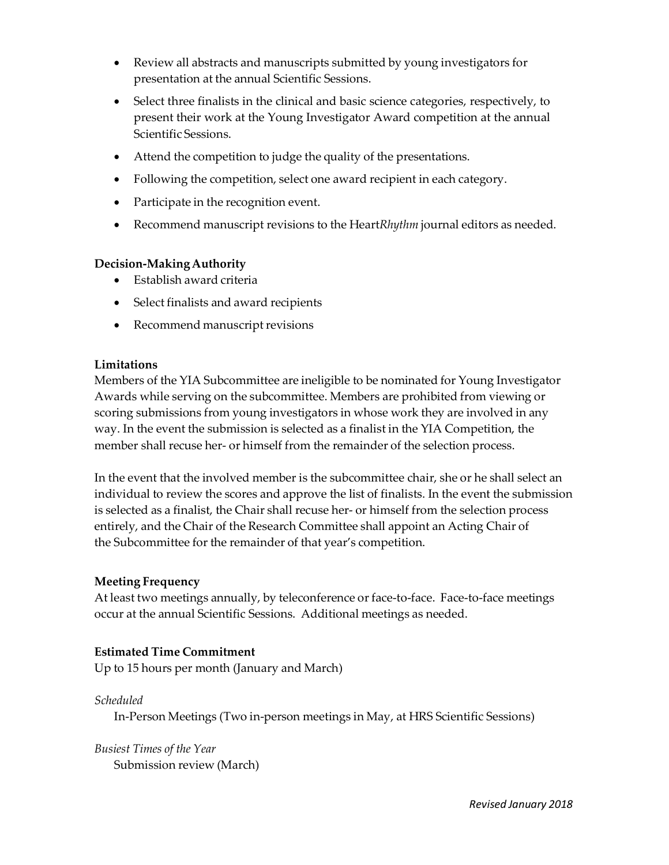- Review all abstracts and manuscripts submitted by young investigators for presentation at the annual Scientific Sessions.
- Select three finalists in the clinical and basic science categories, respectively, to present their work at the Young Investigator Award competition at the annual Scientific Sessions.
- Attend the competition to judge the quality of the presentations.
- Following the competition, select one award recipient in each category.
- Participate in the recognition event.
- Recommend manuscript revisions to the Heart*Rhythm* journal editors as needed.

- Establish award criteria
- Select finalists and award recipients
- Recommend manuscript revisions

### **Limitations**

Members of the YIA Subcommittee are ineligible to be nominated for Young Investigator Awards while serving on the subcommittee. Members are prohibited from viewing or scoring submissions from young investigators in whose work they are involved in any way. In the event the submission is selected as a finalist in the YIA Competition, the member shall recuse her- or himself from the remainder of the selection process.

In the event that the involved member is the subcommittee chair, she or he shall select an individual to review the scores and approve the list of finalists. In the event the submission is selected as a finalist, the Chair shall recuse her‐ or himself from the selection process entirely, and the Chair of the Research Committee shall appoint an Acting Chair of the Subcommittee for the remainder of that year's competition.

# **Meeting Frequency**

At least two meetings annually, by teleconference or face-to-face. Face-to-face meetings occur at the annual Scientific Sessions. Additional meetings as needed.

# **Estimated Time Commitment**

Up to 15 hours per month (January and March)

# *Scheduled*

In‐Person Meetings (Two in‐person meetings in May, at HRS Scientific Sessions)

*Busiest Times of the Year* Submission review (March)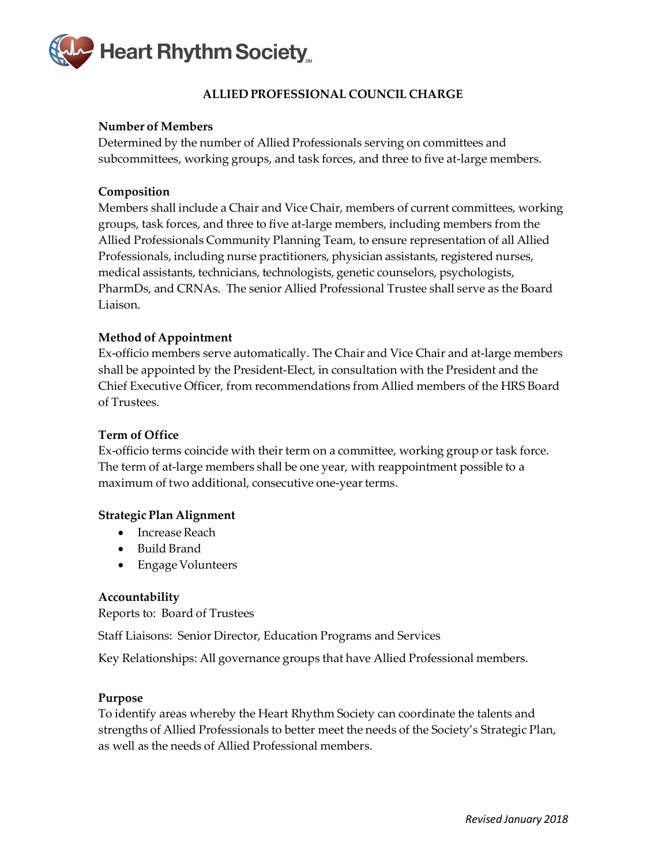<span id="page-66-0"></span>

### **ALLIED PROFESSIONAL COUNCIL CHARGE**

### **Number of Members**

Determined by the number of Allied Professionals serving on committees and subcommittees, working groups, and task forces, and three to five at-large members.

### **Composition**

Members shall include a Chair and Vice Chair, members of current committees, working groups, task forces, and three to five at‐large members, including members from the Allied Professionals Community Planning Team, to ensure representation of all Allied Professionals, including nurse practitioners, physician assistants, registered nurses, medical assistants, technicians, technologists, genetic counselors, psychologists, PharmDs, and CRNAs. The senior Allied Professional Trustee shall serve as the Board Liaison.

### **Method of Appointment**

Ex‐officio members serve automatically. The Chair and Vice Chair and at‐large members shall be appointed by the President‐Elect, in consultation with the President and the Chief Executive Officer, from recommendations from Allied members of the HRS Board of Trustees.

### **Term of Office**

Ex‐officio terms coincide with their term on a committee, working group or task force. The term of at-large members shall be one year, with reappointment possible to a maximum of two additional, consecutive one-year terms.

### **Strategic Plan Alignment**

- Increase Reach
- Build Brand
- Engage Volunteers

### **Accountability**

Reports to: Board of Trustees

Staff Liaisons: Senior Director, Education Programs and Services

Key Relationships: All governance groups that have Allied Professional members.

### **Purpose**

To identify areas whereby the Heart Rhythm Society can coordinate the talents and strengths of Allied Professionals to better meet the needs of the Society's Strategic Plan, as well as the needs of Allied Professional members.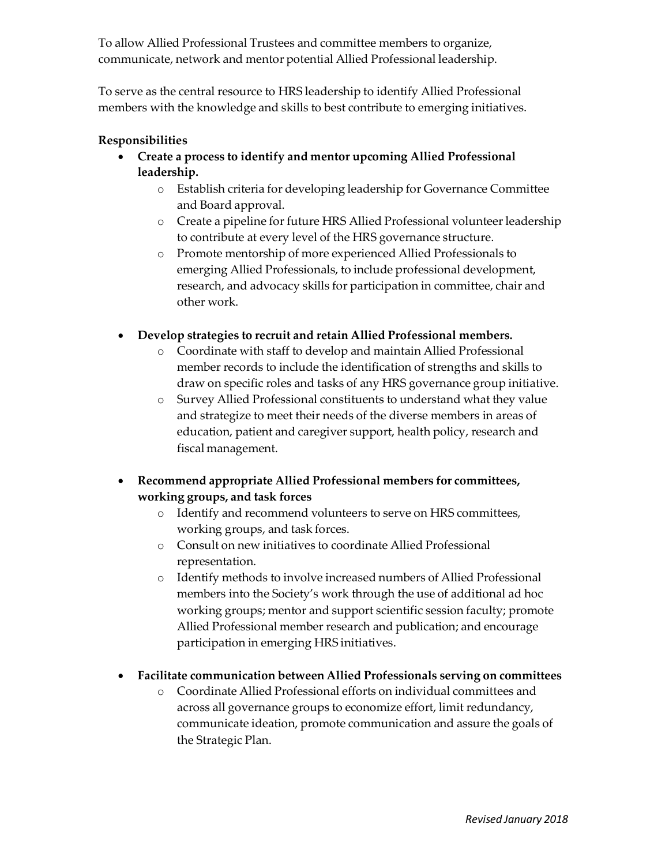To allow Allied Professional Trustees and committee members to organize, communicate, network and mentor potential Allied Professional leadership.

To serve as the central resource to HRS leadership to identify Allied Professional members with the knowledge and skills to best contribute to emerging initiatives.

- **Create a process to identify and mentor upcoming Allied Professional leadership.**
	- o Establish criteria for developing leadership for Governance Committee and Board approval.
	- o Create a pipeline for future HRS Allied Professional volunteer leadership to contribute at every level of the HRS governance structure.
	- o Promote mentorship of more experienced Allied Professionals to emerging Allied Professionals, to include professional development, research, and advocacy skills for participation in committee, chair and other work.
- **Develop strategies to recruit and retain Allied Professional members.**
	- o Coordinate with staff to develop and maintain Allied Professional member records to include the identification of strengths and skills to draw on specific roles and tasks of any HRS governance group initiative.
	- o Survey Allied Professional constituents to understand what they value and strategize to meet their needs of the diverse members in areas of education, patient and caregiver support, health policy, research and fiscal management.
- **Recommend appropriate Allied Professional members for committees, working groups, and task forces**
	- o Identify and recommend volunteers to serve on HRS committees, working groups, and task forces.
	- o Consult on new initiatives to coordinate Allied Professional representation.
	- o Identify methods to involve increased numbers of Allied Professional members into the Society's work through the use of additional ad hoc working groups; mentor and support scientific session faculty; promote Allied Professional member research and publication; and encourage participation in emerging HRS initiatives.
- **Facilitate communication between Allied Professionals serving on committees**
	- o Coordinate Allied Professional efforts on individual committees and across all governance groups to economize effort, limit redundancy, communicate ideation, promote communication and assure the goals of the Strategic Plan.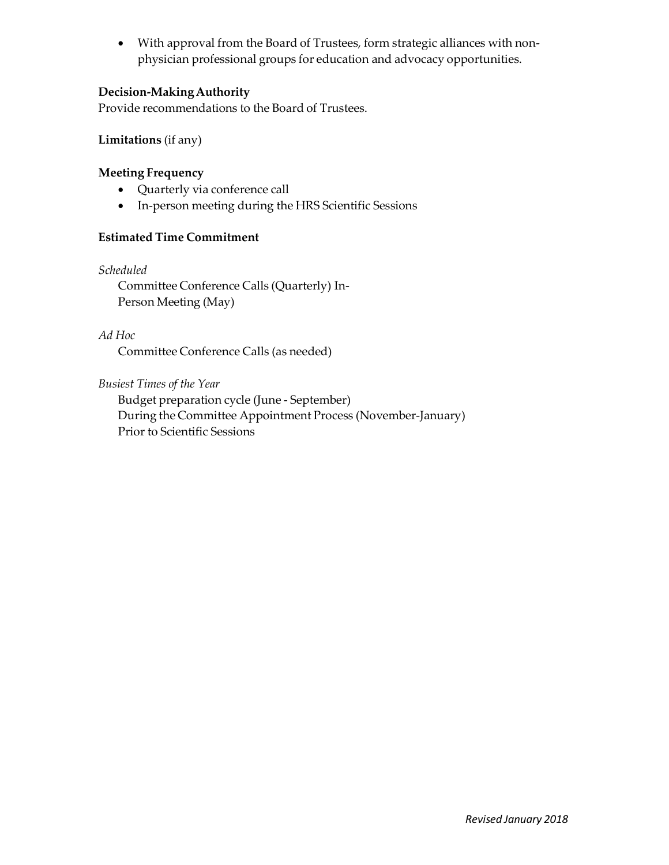• With approval from the Board of Trustees, form strategic alliances with nonphysician professional groups for education and advocacy opportunities.

# **Decision-MakingAuthority**

Provide recommendations to the Board of Trustees.

# **Limitations** (if any)

# **Meeting Frequency**

- Quarterly via conference call
- In-person meeting during the HRS Scientific Sessions

# **Estimated Time Commitment**

*Scheduled*

Committee Conference Calls (Quarterly) In‐ Person Meeting (May)

*Ad Hoc*

Committee Conference Calls (as needed)

*Busiest Times of the Year*

Budget preparation cycle (June ‐ September) During the Committee Appointment Process (November‐January) Prior to Scientific Sessions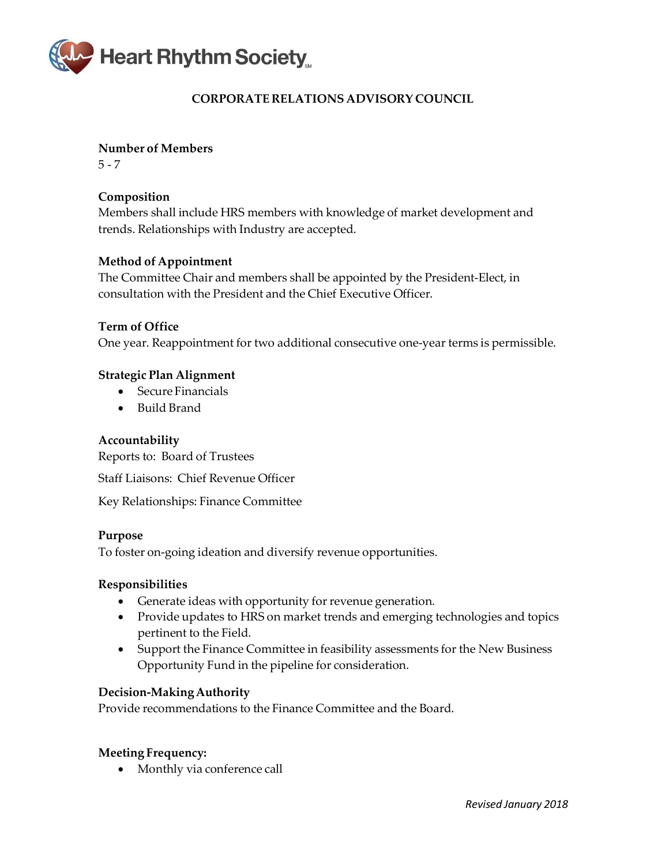<span id="page-69-0"></span>

# **CORPORATE RELATIONS ADVISORY COUNCIL**

**Number of Members**

 $5 - 7$ 

# **Composition**

Members shall include HRS members with knowledge of market development and trends. Relationships with Industry are accepted.

# **Method of Appointment**

The Committee Chair and members shall be appointed by the President‐Elect, in consultation with the President and the Chief Executive Officer.

### **Term of Office**

One year. Reappointment for two additional consecutive one‐year terms is permissible.

### **Strategic Plan Alignment**

- Secure Financials
- Build Brand

### **Accountability**

Reports to: Board of Trustees

Staff Liaisons: Chief Revenue Officer

Key Relationships: Finance Committee

### **Purpose**

To foster on‐going ideation and diversify revenue opportunities.

### **Responsibilities**

- Generate ideas with opportunity for revenue generation.
- Provide updates to HRS on market trends and emerging technologies and topics pertinent to the Field.
- Support the Finance Committee in feasibility assessments for the New Business Opportunity Fund in the pipeline for consideration.

### **Decision-MakingAuthority**

Provide recommendations to the Finance Committee and the Board.

### **Meeting Frequency:**

• Monthly via conference call